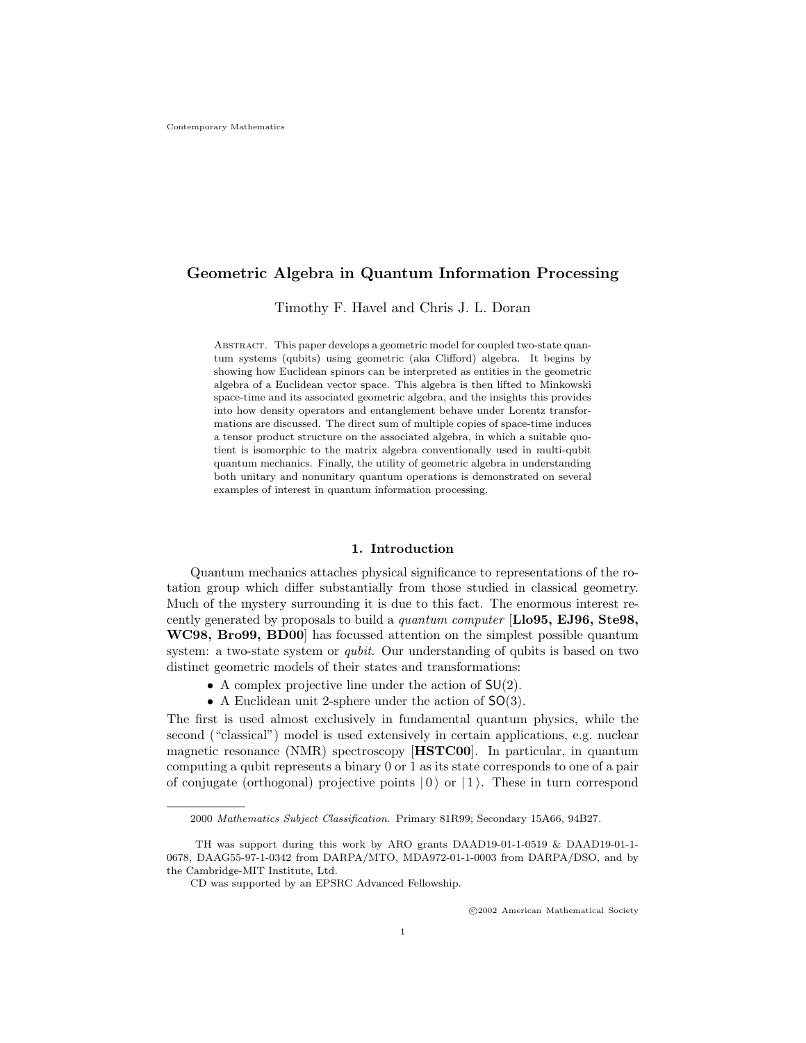# Geometric Algebra in Quantum Information Processing

Timothy F. Havel and Chris J. L. Doran

ABSTRACT. This paper develops a geometric model for coupled two-state quantum systems (qubits) using geometric (aka Clifford) algebra. It begins by showing how Euclidean spinors can be interpreted as entities in the geometric algebra of a Euclidean vector space. This algebra is then lifted to Minkowski space-time and its associated geometric algebra, and the insights this provides into how density operators and entanglement behave under Lorentz transformations are discussed. The direct sum of multiple copies of space-time induces a tensor product structure on the associated algebra, in which a suitable quotient is isomorphic to the matrix algebra conventionally used in multi-qubit quantum mechanics. Finally, the utility of geometric algebra in understanding both unitary and nonunitary quantum operations is demonstrated on several examples of interest in quantum information processing.

#### 1. Introduction

Quantum mechanics attaches physical significance to representations of the rotation group which differ substantially from those studied in classical geometry. Much of the mystery surrounding it is due to this fact. The enormous interest recently generated by proposals to build a quantum computer [Llo95, EJ96, Ste98, WC98, Bro99, BD00] has focussed attention on the simplest possible quantum system: a two-state system or qubit. Our understanding of qubits is based on two distinct geometric models of their states and transformations:

- A complex projective line under the action of  $SU(2)$ .
- A Euclidean unit 2-sphere under the action of SO(3).

The first is used almost exclusively in fundamental quantum physics, while the second ("classical") model is used extensively in certain applications, e.g. nuclear magnetic resonance (NMR) spectroscopy [HSTC00]. In particular, in quantum computing a qubit represents a binary 0 or 1 as its state corresponds to one of a pair of conjugate (orthogonal) projective points  $|0\rangle$  or  $|1\rangle$ . These in turn correspond

<sup>2000</sup> Mathematics Subject Classification. Primary 81R99; Secondary 15A66, 94B27.

TH was support during this work by ARO grants DAAD19-01-1-0519 & DAAD19-01-1- 0678, DAAG55-97-1-0342 from DARPA/MTO, MDA972-01-1-0003 from DARPA/DSO, and by the Cambridge-MIT Institute, Ltd.

CD was supported by an EPSRC Advanced Fellowship.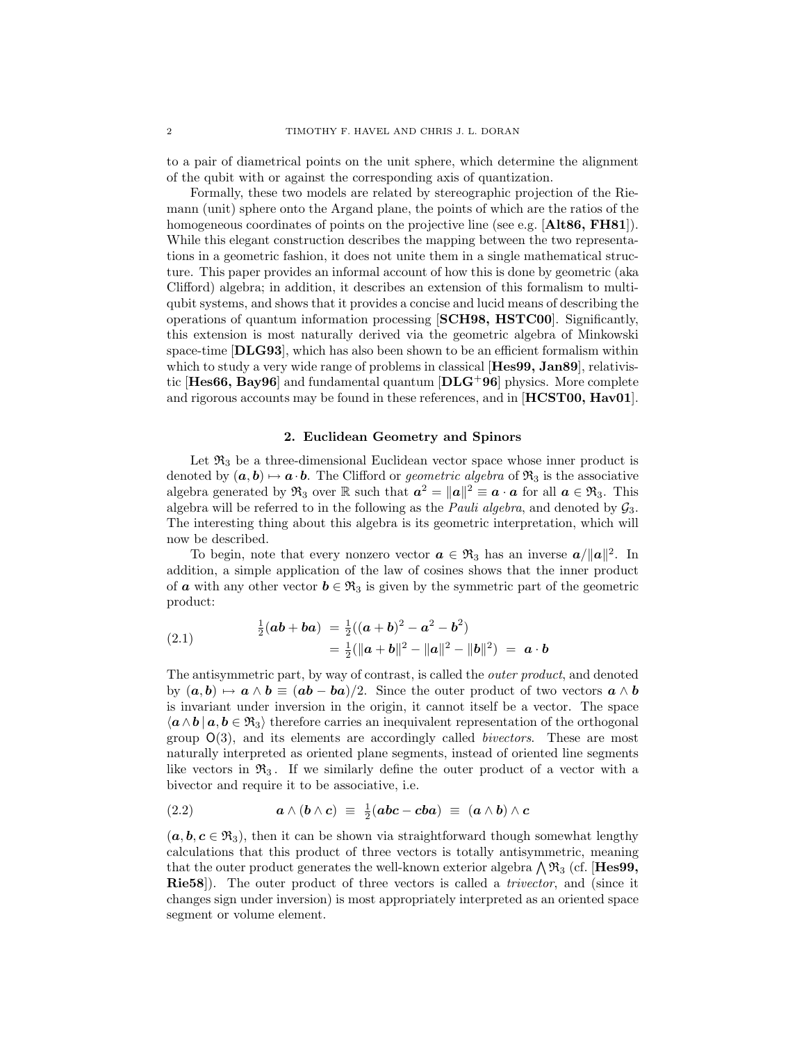to a pair of diametrical points on the unit sphere, which determine the alignment of the qubit with or against the corresponding axis of quantization.

Formally, these two models are related by stereographic projection of the Riemann (unit) sphere onto the Argand plane, the points of which are the ratios of the homogeneous coordinates of points on the projective line (see e.g. [Alt86, FH81]). While this elegant construction describes the mapping between the two representations in a geometric fashion, it does not unite them in a single mathematical structure. This paper provides an informal account of how this is done by geometric (aka Clifford) algebra; in addition, it describes an extension of this formalism to multiqubit systems, and shows that it provides a concise and lucid means of describing the operations of quantum information processing [SCH98, HSTC00]. Significantly, this extension is most naturally derived via the geometric algebra of Minkowski space-time [DLG93], which has also been shown to be an efficient formalism within which to study a very wide range of problems in classical [Hes99, Jan89], relativistic  $[Hes66, Bay96]$  and fundamental quantum  $[DLG^{+96}]$  physics. More complete and rigorous accounts may be found in these references, and in [HCST00, Hav01].

#### 2. Euclidean Geometry and Spinors

Let  $\mathfrak{R}_3$  be a three-dimensional Euclidean vector space whose inner product is denoted by  $(a, b) \mapsto a \cdot b$ . The Clifford or *geometric algebra* of  $\mathfrak{R}_3$  is the associative algebra generated by  $\mathfrak{R}_3$  over  $\mathbb R$  such that  $a^2 = ||a||^2 \equiv a \cdot a$  for all  $a \in \mathfrak{R}_3$ . This algebra will be referred to in the following as the *Pauli algebra*, and denoted by  $\mathcal{G}_3$ . The interesting thing about this algebra is its geometric interpretation, which will now be described.

To begin, note that every nonzero vector  $a \in \mathfrak{R}_3$  has an inverse  $a/||a||^2$ . In addition, a simple application of the law of cosines shows that the inner product of **a** with any other vector  $b \in \mathfrak{R}_3$  is given by the symmetric part of the geometric product:

(2.1) 
$$
\frac{1}{2}(ab+ba) = \frac{1}{2}((a+b)^2 - a^2 - b^2) \n= \frac{1}{2}(\|a+b\|^2 - \|a\|^2 - \|b\|^2) = a \cdot b
$$

The antisymmetric part, by way of contrast, is called the outer product, and denoted by  $(a, b) \mapsto a \wedge b \equiv (ab - ba)/2$ . Since the outer product of two vectors  $a \wedge b$ is invariant under inversion in the origin, it cannot itself be a vector. The space  $\langle a \wedge b \, | \, a, b \in \mathfrak{R}_3 \rangle$  therefore carries an inequivalent representation of the orthogonal group  $O(3)$ , and its elements are accordingly called *bivectors*. These are most naturally interpreted as oriented plane segments, instead of oriented line segments like vectors in  $\mathfrak{R}_3$ . If we similarly define the outer product of a vector with a bivector and require it to be associative, i.e.

(2.2) 
$$
a \wedge (b \wedge c) \equiv \frac{1}{2}(abc - cba) \equiv (a \wedge b) \wedge c
$$

 $(a, b, c \in \mathfrak{R}_3)$ , then it can be shown via straightforward though somewhat lengthy calculations that this product of three vectors is totally antisymmetric, meaning that the outer product generates the well-known exterior algebra  $\bigwedge \mathfrak{R}_3$  (cf. [Hes99, Rie58]). The outer product of three vectors is called a trivector, and (since it changes sign under inversion) is most appropriately interpreted as an oriented space segment or volume element.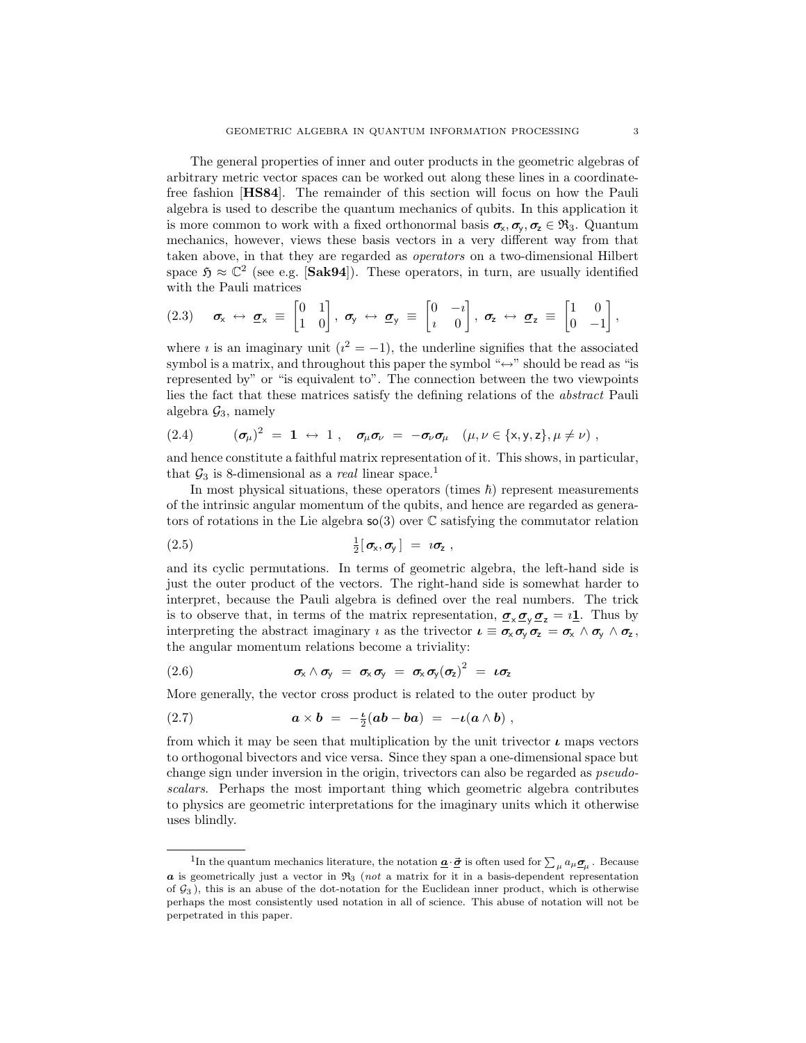The general properties of inner and outer products in the geometric algebras of arbitrary metric vector spaces can be worked out along these lines in a coordinatefree fashion [HS84]. The remainder of this section will focus on how the Pauli algebra is used to describe the quantum mechanics of qubits. In this application it is more common to work with a fixed orthonormal basis  $\sigma_x, \sigma_y, \sigma_z \in \mathfrak{R}_3$ . Quantum mechanics, however, views these basis vectors in a very different way from that taken above, in that they are regarded as operators on a two-dimensional Hilbert space  $\mathfrak{H} \approx \mathbb{C}^2$  (see e.g. [Sak94]). These operators, in turn, are usually identified with the Pauli matrices

$$
(2.3) \quad \sigma_x \leftrightarrow \sigma_x \equiv \begin{bmatrix} 0 & 1 \\ 1 & 0 \end{bmatrix}, \ \sigma_y \leftrightarrow \sigma_y \equiv \begin{bmatrix} 0 & -i \\ i & 0 \end{bmatrix}, \ \sigma_z \leftrightarrow \sigma_z \equiv \begin{bmatrix} 1 & 0 \\ 0 & -1 \end{bmatrix},
$$

where *i* is an imaginary unit ( $i^2 = -1$ ), the underline signifies that the associated symbol is a matrix, and throughout this paper the symbol " $\leftrightarrow$ " should be read as "is represented by" or "is equivalent to". The connection between the two viewpoints lies the fact that these matrices satisfy the defining relations of the abstract Pauli algebra  $\mathcal{G}_3$ , namely

(2.4) 
$$
(\sigma_{\mu})^2 = 1 \leftrightarrow 1, \quad \sigma_{\mu}\sigma_{\nu} = -\sigma_{\nu}\sigma_{\mu} \quad (\mu, \nu \in \{x, y, z\}, \mu \neq \nu)
$$

and hence constitute a faithful matrix representation of it. This shows, in particular, that  $\mathcal{G}_3$  is 8-dimensional as a *real* linear space.<sup>1</sup>

In most physical situations, these operators (times  $\hbar$ ) represent measurements of the intrinsic angular momentum of the qubits, and hence are regarded as generators of rotations in the Lie algebra  $\mathfrak{so}(3)$  over  $\mathbb C$  satisfying the commutator relation

(2.5) <sup>1</sup> 2 [σx,σ<sup>y</sup> ] = ıσ<sup>z</sup> ,

and its cyclic permutations. In terms of geometric algebra, the left-hand side is just the outer product of the vectors. The right-hand side is somewhat harder to interpret, because the Pauli algebra is defined over the real numbers. The trick is to observe that, in terms of the matrix representation,  $\sigma_{\mathsf{x}} \sigma_{\mathsf{y}} \sigma_{\mathsf{z}} = i \mathbf{1}$ . Thus by interpreting the abstract imaginary *i* as the trivector  $\mathbf{u} \equiv \boldsymbol{\sigma}_{\mathsf{x}} \boldsymbol{\sigma}_{\mathsf{y}} \boldsymbol{\sigma}_{\mathsf{z}} = \boldsymbol{\sigma}_{\mathsf{x}} \wedge \boldsymbol{\sigma}_{\mathsf{y}} \wedge \boldsymbol{\sigma}_{\mathsf{z}}$ , the angular momentum relations become a triviality:

(2.6) 
$$
\sigma_x \wedge \sigma_y = \sigma_x \sigma_y = \sigma_x \sigma_y (\sigma_z)^2 = \iota \sigma_z
$$

More generally, the vector cross product is related to the outer product by

(2.7) 
$$
\mathbf{a} \times \mathbf{b} = -\frac{\iota}{2}(\mathbf{a}\mathbf{b} - \mathbf{b}\mathbf{a}) = -\iota(\mathbf{a} \wedge \mathbf{b}),
$$

from which it may be seen that multiplication by the unit trivector  $\iota$  maps vectors to orthogonal bivectors and vice versa. Since they span a one-dimensional space but change sign under inversion in the origin, trivectors can also be regarded as pseudoscalars. Perhaps the most important thing which geometric algebra contributes to physics are geometric interpretations for the imaginary units which it otherwise uses blindly.

<sup>&</sup>lt;sup>1</sup>In the quantum mechanics literature, the notation  $\underline{\mathbf{a}} \cdot \underline{\vec{\sigma}}$  is often used for  $\sum_{\mu} a_{\mu} \underline{\sigma}_{\mu}$ . Because  $\alpha$  is geometrically just a vector in  $\Re_3$  (not a matrix for it in a basis-dependent representation of  $G_3$ ), this is an abuse of the dot-notation for the Euclidean inner product, which is otherwise perhaps the most consistently used notation in all of science. This abuse of notation will not be perpetrated in this paper.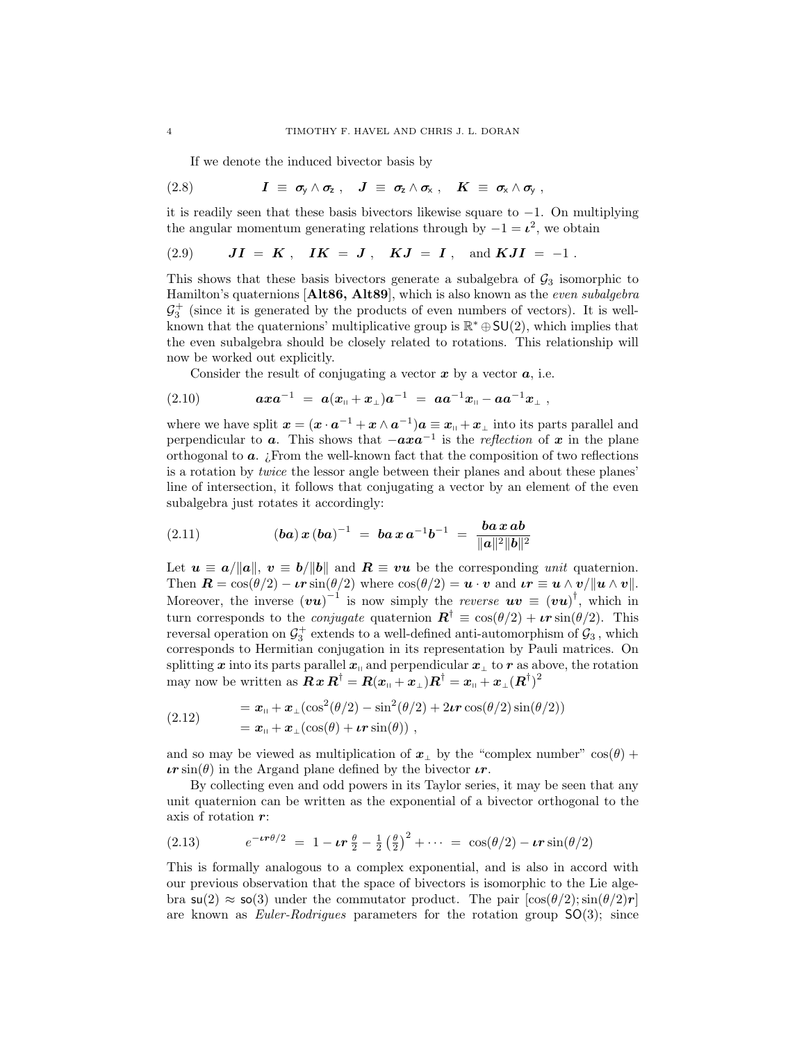If we denote the induced bivector basis by

(2.8) 
$$
I \equiv \sigma_y \wedge \sigma_z , \quad J \equiv \sigma_z \wedge \sigma_x , \quad K \equiv \sigma_x \wedge \sigma_y ,
$$

it is readily seen that these basis bivectors likewise square to  $-1$ . On multiplying the angular momentum generating relations through by  $-1 = \ell^2$ , we obtain

(2.9) 
$$
JI = K
$$
,  $IK = J$ ,  $KJ = I$ , and  $KJI = -1$ .

This shows that these basis bivectors generate a subalgebra of  $\mathcal{G}_3$  isomorphic to Hamilton's quaternions [Alt86, Alt89], which is also known as the even subalgebra  $\mathcal{G}_3^+$  (since it is generated by the products of even numbers of vectors). It is wellknown that the quaternions' multiplicative group is  $\mathbb{R}^* \oplus SU(2)$ , which implies that the even subalgebra should be closely related to rotations. This relationship will now be worked out explicitly.

Consider the result of conjugating a vector  $x$  by a vector  $a$ , i.e.

(2.10) 
$$
axa^{-1} = a(x_{\shortparallel}+x_{\perp})a^{-1} = aa^{-1}x_{\shortparallel}-aa^{-1}x_{\perp} ,
$$

where we have split  $\mathbf{x} = (\mathbf{x} \cdot \mathbf{a}^{-1} + \mathbf{x} \wedge \mathbf{a}^{-1})\mathbf{a} \equiv \mathbf{x}_{\text{H}} + \mathbf{x}_{\perp}$  into its parts parallel and perpendicular to **a**. This shows that  $-axa^{-1}$  is the reflection of x in the plane orthogonal to  $a$ . ¿From the well-known fact that the composition of two reflections is a rotation by twice the lessor angle between their planes and about these planes' line of intersection, it follows that conjugating a vector by an element of the even subalgebra just rotates it accordingly:

(2.11) 
$$
(\boldsymbol{ba}) \, \boldsymbol{x} \, (\boldsymbol{ba})^{-1} \ = \ \boldsymbol{ba} \, \boldsymbol{x} \, \boldsymbol{a}^{-1} \boldsymbol{b}^{-1} \ = \ \frac{\boldsymbol{ba} \, \boldsymbol{x} \, \boldsymbol{ab}}{\|\boldsymbol{a}\|^2 \|\boldsymbol{b}\|^2}
$$

Let  $u \equiv a/\Vert a \Vert$ ,  $v \equiv b/\Vert b \Vert$  and  $R \equiv vu$  be the corresponding unit quaternion. Then  $\mathbf{R} = \cos(\theta/2) - \boldsymbol{\iota} \boldsymbol{r} \sin(\theta/2)$  where  $\cos(\theta/2) = \boldsymbol{u} \cdot \boldsymbol{v}$  and  $\boldsymbol{\iota} \boldsymbol{r} \equiv \boldsymbol{u} \wedge \boldsymbol{v}/\|\boldsymbol{u} \wedge \boldsymbol{v}\|$ . Moreover, the inverse  $(vu)^{-1}$  is now simply the *reverse*  $uv \equiv (vu)^{\dagger}$ , which in turn corresponds to the *conjugate* quaternion  $\mathbf{R}^{\dagger} \equiv \cos(\theta/2) + \boldsymbol{\iota} \cdot \boldsymbol{r} \sin(\theta/2)$ . This reversal operation on  $\mathcal{G}_3^+$  extends to a well-defined anti-automorphism of  $\mathcal{G}_3$ , which corresponds to Hermitian conjugation in its representation by Pauli matrices. On splitting x into its parts parallel  $x_0$  and perpendicular  $x_1$  to r as above, the rotation may now be written as  $\mathbf{R} \mathbf{x} \mathbf{R}^{\dagger} = \mathbf{R} (\mathbf{x}_{\shortparallel} + \mathbf{x}_{\shortparallel}) \mathbf{R}^{\dagger} = \mathbf{x}_{\shortparallel} + \mathbf{x}_{\shortparallel} (\mathbf{R}^{\dagger})^2$ 

(2.12) 
$$
= \boldsymbol{x}_{\parallel} + \boldsymbol{x}_{\perp} (\cos^2(\theta/2) - \sin^2(\theta/2) + 2\boldsymbol{\ell} \boldsymbol{r} \cos(\theta/2) \sin(\theta/2))
$$

$$
= \boldsymbol{x}_{\parallel} + \boldsymbol{x}_{\perp} (\cos(\theta) + \boldsymbol{\ell} \boldsymbol{r} \sin(\theta)),
$$

and so may be viewed as multiplication of  $x_{\perp}$  by the "complex number" cos( $\theta$ ) +  $\iota r \sin(\theta)$  in the Argand plane defined by the bivector  $\iota r$ .

By collecting even and odd powers in its Taylor series, it may be seen that any unit quaternion can be written as the exponential of a bivector orthogonal to the axis of rotation r:

(2.13) 
$$
e^{-\iota r \theta/2} = 1 - \iota r \frac{\theta}{2} - \frac{1}{2} (\frac{\theta}{2})^2 + \cdots = \cos(\theta/2) - \iota r \sin(\theta/2)
$$

This is formally analogous to a complex exponential, and is also in accord with our previous observation that the space of bivectors is isomorphic to the Lie algebra  $\mathsf{su}(2) \approx \mathsf{so}(3)$  under the commutator product. The pair  $|\cos(\theta/2)\sin(\theta/2)r|$ are known as *Euler-Rodrigues* parameters for the rotation group  $SO(3)$ ; since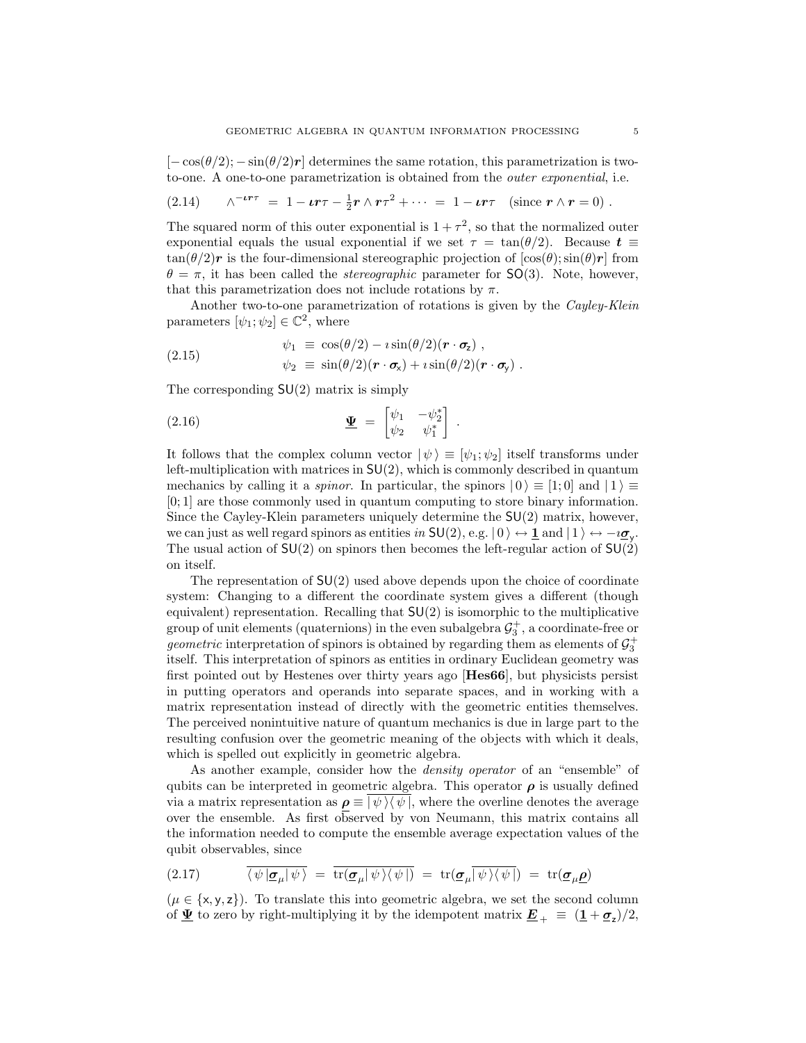$[-\cos(\theta/2)-\sin(\theta/2)r]$  determines the same rotation, this parametrization is twoto-one. A one-to-one parametrization is obtained from the outer exponential, i.e.

(2.14) 
$$
\wedge^{-\iota r \tau} = 1 - \iota r \tau - \frac{1}{2} r \wedge r \tau^2 + \cdots = 1 - \iota r \tau \quad \text{(since } r \wedge r = 0 \text{)}.
$$

The squared norm of this outer exponential is  $1 + \tau^2$ , so that the normalized outer exponential equals the usual exponential if we set  $\tau = \tan(\theta/2)$ . Because  $t \equiv$  $tan(\theta/2)r$  is the four-dimensional stereographic projection of  $[cos(\theta); sin(\theta)r]$  from  $\theta = \pi$ , it has been called the *stereographic* parameter for SO(3). Note, however, that this parametrization does not include rotations by  $\pi$ .

Another two-to-one parametrization of rotations is given by the Cayley-Klein parameters  $[\psi_1; \psi_2] \in \mathbb{C}^2$ , where

(2.15) 
$$
\psi_1 \equiv \cos(\theta/2) - i \sin(\theta/2) (\mathbf{r} \cdot \mathbf{\sigma}_z) ,
$$

$$
\psi_2 \equiv \sin(\theta/2) (\mathbf{r} \cdot \mathbf{\sigma}_x) + i \sin(\theta/2) (\mathbf{r} \cdot \mathbf{\sigma}_y) .
$$

The corresponding  $SU(2)$  matrix is simply

(2.16) 
$$
\underline{\mathbf{\Psi}} = \begin{bmatrix} \psi_1 & -\psi_2^* \\ \psi_2 & \psi_1^* \end{bmatrix}
$$

It follows that the complex column vector  $|\psi\rangle \equiv [\psi_1; \psi_2]$  itself transforms under left-multiplication with matrices in  $SU(2)$ , which is commonly described in quantum mechanics by calling it a *spinor*. In particular, the spinors  $|0\rangle \equiv |1;0\rangle$  and  $|1\rangle \equiv$ [0; 1] are those commonly used in quantum computing to store binary information. Since the Cayley-Klein parameters uniquely determine the  $SU(2)$  matrix, however, we can just as well regard spinors as entities in  $SU(2)$ , e.g.  $|0\rangle \leftrightarrow \mathbf{1}$  and  $|1\rangle \leftrightarrow -i\mathbf{g}_y$ . The usual action of  $SU(2)$  on spinors then becomes the left-regular action of  $SU(2)$ on itself.

.

The representation of  $SU(2)$  used above depends upon the choice of coordinate system: Changing to a different the coordinate system gives a different (though equivalent) representation. Recalling that  $SU(2)$  is isomorphic to the multiplicative group of unit elements (quaternions) in the even subalgebra  $\mathcal{G}_3^+$ , a coordinate-free or *geometric* interpretation of spinors is obtained by regarding them as elements of  $\mathcal{G}_3^+$ itself. This interpretation of spinors as entities in ordinary Euclidean geometry was first pointed out by Hestenes over thirty years ago [Hes66], but physicists persist in putting operators and operands into separate spaces, and in working with a matrix representation instead of directly with the geometric entities themselves. The perceived nonintuitive nature of quantum mechanics is due in large part to the resulting confusion over the geometric meaning of the objects with which it deals, which is spelled out explicitly in geometric algebra.

As another example, consider how the *density operator* of an "ensemble" of qubits can be interpreted in geometric algebra. This operator  $\rho$  is usually defined via a matrix representation as  $\rho \equiv |\psi\rangle\langle \psi|$ , where the overline denotes the average over the ensemble. As first observed by von Neumann, this matrix contains all the information needed to compute the ensemble average expectation values of the qubit observables, since

(2.17) 
$$
\overline{\langle \psi | \mathcal{Q}_{\mu} | \psi \rangle} = \overline{\text{tr}(\mathcal{Q}_{\mu} | \psi \rangle \langle \psi |)} = \text{tr}(\mathcal{Q}_{\mu} | \overline{\psi} \rangle \langle \psi |) = \text{tr}(\mathcal{Q}_{\mu} \rho)
$$

 $(\mu \in \{x, y, z\})$ . To translate this into geometric algebra, we set the second column of  $\underline{\Psi}$  to zero by right-multiplying it by the idempotent matrix  $\underline{\mathbf{E}}_{+} \equiv (\underline{\mathbf{1}} + \underline{\boldsymbol{\sigma}}_{z})/2$ ,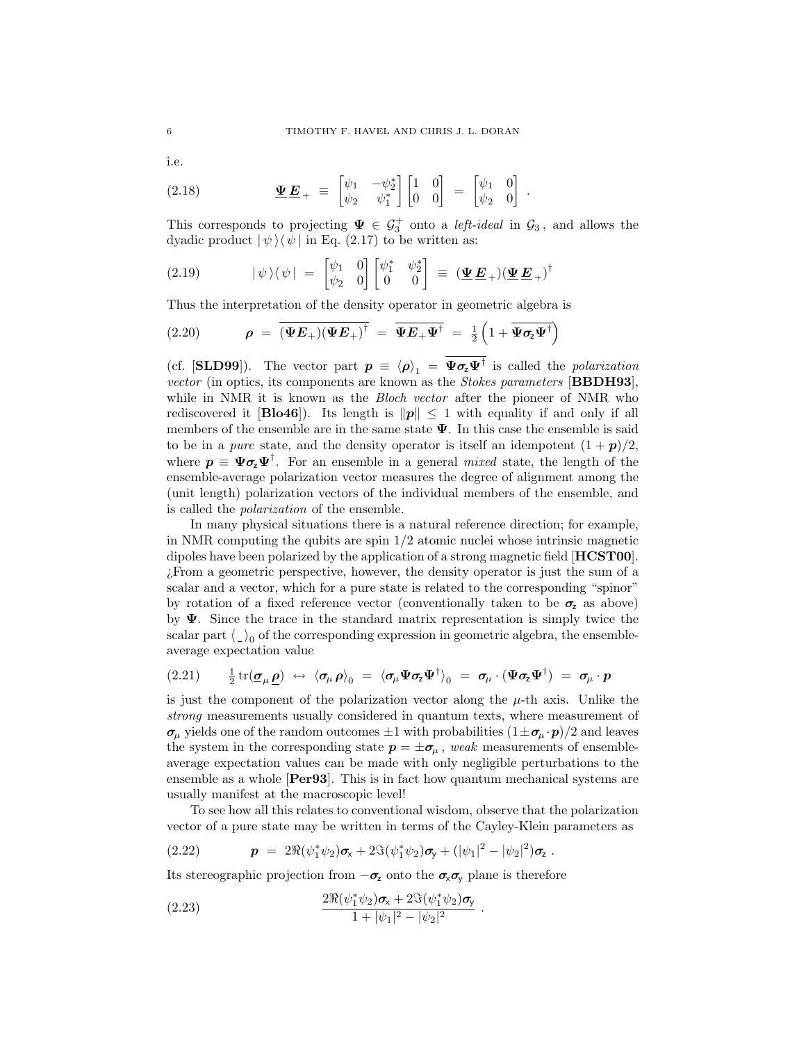i.e.

(2.18) 
$$
\underline{\Psi} \underline{E}_{+} = \begin{bmatrix} \psi_1 & -\psi_2^* \\ \psi_2 & \psi_1^* \end{bmatrix} \begin{bmatrix} 1 & 0 \\ 0 & 0 \end{bmatrix} = \begin{bmatrix} \psi_1 & 0 \\ \psi_2 & 0 \end{bmatrix}
$$

This corresponds to projecting  $\Psi \in \mathcal{G}_3^+$  onto a *left-ideal* in  $\mathcal{G}_3$ , and allows the dyadic product  $|\psi\rangle\langle\psi|$  in Eq. (2.17) to be written as:

.

(2.19) 
$$
|\psi\rangle\langle\psi| = \begin{bmatrix} \psi_1 & 0 \\ \psi_2 & 0 \end{bmatrix} \begin{bmatrix} \psi_1^* & \psi_2^* \\ 0 & 0 \end{bmatrix} = (\underline{\Psi}\underline{E}_+) (\underline{\Psi}\underline{E}_+)^\dagger
$$

Thus the interpretation of the density operator in geometric algebra is

(2.20) 
$$
\rho = \overline{(\Psi E_+)(\Psi E_+)}^{\dagger} = \overline{\Psi E_+ \Psi^{\dagger}} = \frac{1}{2} \left( 1 + \overline{\Psi \sigma_z \Psi^{\dagger}} \right)
$$

(cf. [SLD99]). The vector part  $p \equiv \langle p \rangle_1 = \overline{\Psi \sigma_z \Psi^{\dagger}}$  is called the *polarization* vector (in optics, its components are known as the Stokes parameters [BBDH93], while in NMR it is known as the *Bloch vector* after the pioneer of NMR who rediscovered it [Blo46]). Its length is  $||p|| \leq 1$  with equality if and only if all members of the ensemble are in the same state  $\Psi$ . In this case the ensemble is said to be in a *pure* state, and the density operator is itself an idempotent  $(1 + p)/2$ , where  $p \equiv \Psi \sigma_z \Psi^{\dagger}$ . For an ensemble in a general *mixed* state, the length of the ensemble-average polarization vector measures the degree of alignment among the (unit length) polarization vectors of the individual members of the ensemble, and is called the polarization of the ensemble.

In many physical situations there is a natural reference direction; for example, in NMR computing the qubits are spin  $1/2$  atomic nuclei whose intrinsic magnetic dipoles have been polarized by the application of a strong magnetic field [HCST00]. ¿From a geometric perspective, however, the density operator is just the sum of a scalar and a vector, which for a pure state is related to the corresponding "spinor" by rotation of a fixed reference vector (conventionally taken to be  $\sigma_z$  as above) by Ψ. Since the trace in the standard matrix representation is simply twice the scalar part  $\langle \_ \rangle _0$  of the corresponding expression in geometric algebra, the ensembleaverage expectation value

$$
(2.21) \qquad \frac{1}{2} \operatorname{tr}(\underline{\boldsymbol{\sigma}}_{\mu} \underline{\boldsymbol{\rho}}) \leftrightarrow \langle \boldsymbol{\sigma}_{\mu} \boldsymbol{\rho} \rangle_{0} \; = \; \langle \boldsymbol{\sigma}_{\mu} \boldsymbol{\Psi} \boldsymbol{\sigma}_{z} \boldsymbol{\Psi}^{\dagger} \rangle_{0} \; = \; \boldsymbol{\sigma}_{\mu} \cdot (\boldsymbol{\Psi} \boldsymbol{\sigma}_{z} \boldsymbol{\Psi}^{\dagger}) \; = \; \boldsymbol{\sigma}_{\mu} \cdot \boldsymbol{p}
$$

is just the component of the polarization vector along the  $\mu$ -th axis. Unlike the strong measurements usually considered in quantum texts, where measurement of  $\sigma_\mu$  yields one of the random outcomes  $\pm 1$  with probabilities  $(1 \pm \sigma_\mu \cdot p)/2$  and leaves the system in the corresponding state  $p = \pm \sigma_{\mu}$ , weak measurements of ensembleaverage expectation values can be made with only negligible perturbations to the ensemble as a whole [Per93]. This is in fact how quantum mechanical systems are usually manifest at the macroscopic level!

To see how all this relates to conventional wisdom, observe that the polarization vector of a pure state may be written in terms of the Cayley-Klein parameters as

.

(2.22) 
$$
p = 2\Re(\psi_1^*\psi_2)\sigma_x + 2\Im(\psi_1^*\psi_2)\sigma_y + (|\psi_1|^2 - |\psi_2|^2)\sigma_z.
$$

Its stereographic projection from  $-\sigma_z$  onto the  $\sigma_x \sigma_y$  plane is therefore

(2.23) 
$$
\frac{2\Re(\psi_1^*\psi_2)\sigma_x + 2\Im(\psi_1^*\psi_2)\sigma_y}{1 + |\psi_1|^2 - |\psi_2|^2}
$$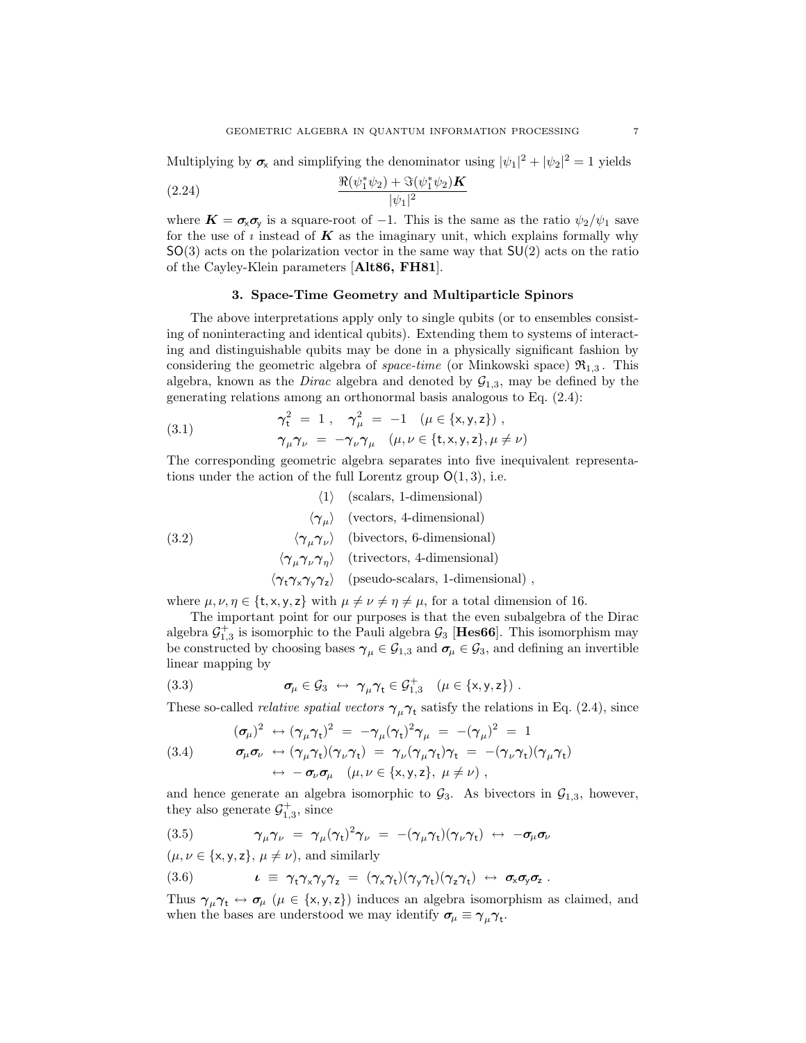Multiplying by  $\sigma_{\mathsf{x}}$  and simplifying the denominator using  $|\psi_1|^2 + |\psi_2|^2 = 1$  yields

(2.24) 
$$
\frac{\Re(\psi_1^*\psi_2) + \Im(\psi_1^*\psi_2) \mathbf{K}}{|\psi_1|^2}
$$

where  $\mathbf{K} = \sigma_{\mathbf{x}} \sigma_{\mathbf{y}}$  is a square-root of -1. This is the same as the ratio  $\psi_2/\psi_1$  save for the use of  $\imath$  instead of  $\bm{K}$  as the imaginary unit, which explains formally why  $SO(3)$  acts on the polarization vector in the same way that  $SU(2)$  acts on the ratio of the Cayley-Klein parameters [Alt86, FH81].

### 3. Space-Time Geometry and Multiparticle Spinors

The above interpretations apply only to single qubits (or to ensembles consisting of noninteracting and identical qubits). Extending them to systems of interacting and distinguishable qubits may be done in a physically significant fashion by considering the geometric algebra of *space-time* (or Minkowski space)  $\mathfrak{R}_{1,3}$ . This algebra, known as the *Dirac* algebra and denoted by  $\mathcal{G}_{1,3}$ , may be defined by the generating relations among an orthonormal basis analogous to Eq. (2.4):

(3.1) 
$$
\gamma_t^2 = 1, \quad \gamma_\mu^2 = -1 \quad (\mu \in \{x, y, z\}), \n\gamma_\mu \gamma_\nu = -\gamma_\nu \gamma_\mu \quad (\mu, \nu \in \{t, x, y, z\}, \mu \neq \nu)
$$

The corresponding geometric algebra separates into five inequivalent representations under the action of the full Lorentz group  $O(1, 3)$ , i.e.

 $\langle 1 \rangle$  (scalars, 1-dimensional)  $\langle \gamma_{\mu} \rangle$  (vectors, 4-dimensional)  $\langle \gamma_{\mu} \gamma_{\nu} \rangle$  (bivectors, 6-dimensional)  $\langle \gamma_\mu \gamma_\nu \gamma_\eta \rangle$  (trivectors, 4-dimensional)  $\langle \gamma_{t}\gamma_{x}\gamma_{y}\gamma_{z}\rangle$  (pseudo-scalars, 1-dimensional), (3.2)

where  $\mu$ ,  $\nu$ ,  $\eta \in \{\text{t}, \text{x}, \text{y}, \text{z}\}\$  with  $\mu \neq \nu \neq \eta \neq \mu$ , for a total dimension of 16.

The important point for our purposes is that the even subalgebra of the Dirac algebra  $\mathcal{G}_{1,3}^+$  is isomorphic to the Pauli algebra  $\mathcal{G}_3$  [Hes66]. This isomorphism may be constructed by choosing bases  $\gamma_\mu\in\mathcal{G}_{1,3}$  and  $\sigma_\mu\in\mathcal{G}_3$ , and defining an invertible linear mapping by

(3.3) 
$$
\sigma_{\mu} \in \mathcal{G}_3 \leftrightarrow \gamma_{\mu} \gamma_t \in \mathcal{G}_{1,3}^+ \quad (\mu \in \{x,y,z\}) .
$$

These so-called *relative spatial vectors*  $\gamma_{\mu}\gamma_{t}$  satisfy the relations in Eq. (2.4), since

(3.4) 
$$
(\sigma_{\mu})^2 \leftrightarrow (\gamma_{\mu}\gamma_{t})^2 = -\gamma_{\mu}(\gamma_{t})^2 \gamma_{\mu} = -(\gamma_{\mu})^2 = 1
$$

$$
\sigma_{\mu}\sigma_{\nu} \leftrightarrow (\gamma_{\mu}\gamma_{t})(\gamma_{\nu}\gamma_{t}) = \gamma_{\nu}(\gamma_{\mu}\gamma_{t})\gamma_{t} = -(\gamma_{\nu}\gamma_{t})(\gamma_{\mu}\gamma_{t})
$$

$$
\leftrightarrow -\sigma_{\nu}\sigma_{\mu} \quad (\mu, \nu \in \{\mathsf{x}, \mathsf{y}, \mathsf{z}\}, \mu \neq \nu),
$$

and hence generate an algebra isomorphic to  $\mathcal{G}_3$ . As bivectors in  $\mathcal{G}_{1,3}$ , however, they also generate  $\mathcal{G}_{1,3}^+$ , since

(3.5) 
$$
\gamma_{\mu}\gamma_{\nu} = \gamma_{\mu}(\gamma_{t})^{2}\gamma_{\nu} = -(\gamma_{\mu}\gamma_{t})(\gamma_{\nu}\gamma_{t}) \leftrightarrow -\sigma_{\mu}\sigma_{\nu}
$$

 $(\mu, \nu \in \{x, y, z\}, \mu \neq \nu)$ , and similarly

(3.6) 
$$
\iota \equiv \gamma_t \gamma_x \gamma_y \gamma_z = (\gamma_x \gamma_t)(\gamma_y \gamma_t)(\gamma_z \gamma_t) \leftrightarrow \sigma_x \sigma_y \sigma_z.
$$

Thus  $\gamma_{\mu}\gamma_{t} \leftrightarrow \sigma_{\mu}$  ( $\mu \in \{x, y, z\}$ ) induces an algebra isomorphism as claimed, and when the bases are understood we may identify  $\sigma_{\mu} \equiv \gamma_{\mu} \gamma_{t}$ .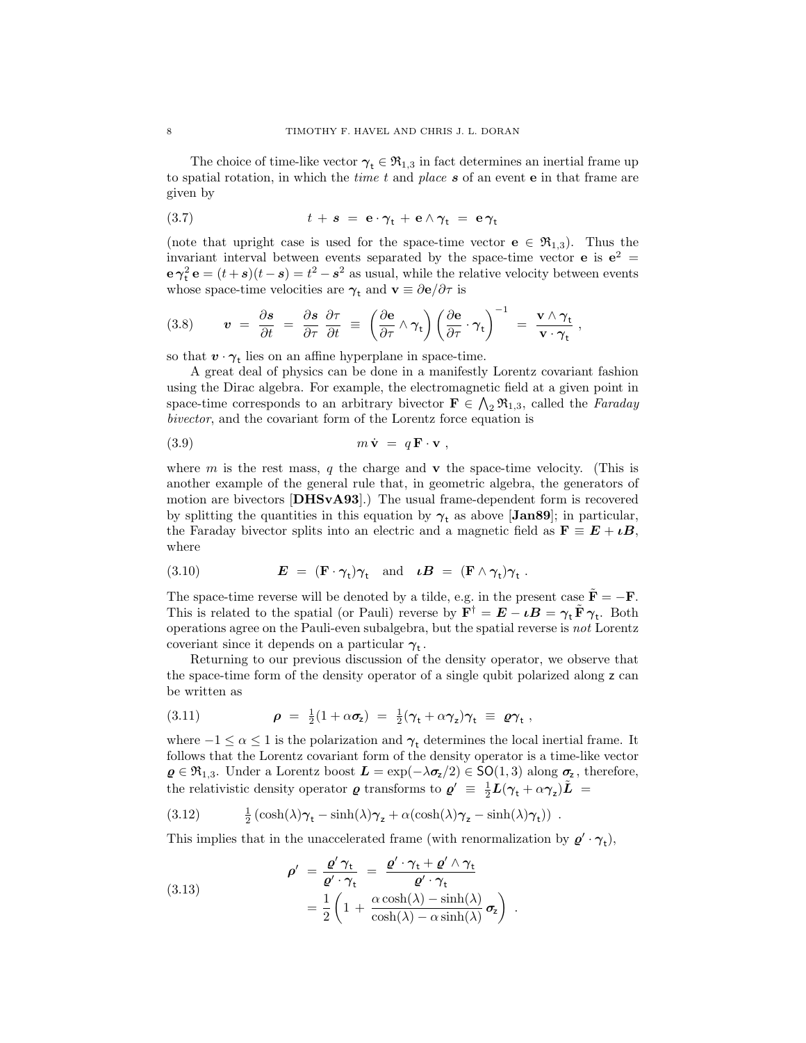The choice of time-like vector  $\gamma_t \in \mathfrak{R}_{1,3}$  in fact determines an inertial frame up to spatial rotation, in which the *time t* and *place*  $s$  of an event  $e$  in that frame are given by

(3.7) 
$$
t + s = e \cdot \gamma_t + e \wedge \gamma_t = e \gamma_t
$$

(note that upright case is used for the space-time vector  $e \in \mathfrak{R}_{1,3}$ ). Thus the invariant interval between events separated by the space-time vector **e** is  $e^2 =$  $\mathbf{e} \gamma_t^2 \mathbf{e} = (t+s)(t-s) = t^2 - s^2$  as usual, while the relative velocity between events whose space-time velocities are  $\gamma_t$  and  $\mathbf{v} \equiv \partial \mathbf{e}/\partial \tau$  is

(3.8) 
$$
\mathbf{v} = \frac{\partial \mathbf{s}}{\partial t} = \frac{\partial \mathbf{s}}{\partial \tau} \frac{\partial \tau}{\partial t} = \left(\frac{\partial \mathbf{e}}{\partial \tau} \wedge \gamma_{t}\right) \left(\frac{\partial \mathbf{e}}{\partial \tau} \cdot \gamma_{t}\right)^{-1} = \frac{\mathbf{v} \wedge \gamma_{t}}{\mathbf{v} \cdot \gamma_{t}},
$$

so that  $\boldsymbol{v}\cdot\boldsymbol{\gamma}_{\mathsf{t}}$  lies on an affine hyperplane in space-time.

A great deal of physics can be done in a manifestly Lorentz covariant fashion using the Dirac algebra. For example, the electromagnetic field at a given point in space-time corresponds to an arbitrary bivector  $\mathbf{F} \in \bigwedge_2 \mathfrak{R}_{1,3}$ , called the *Faraday* bivector, and the covariant form of the Lorentz force equation is

$$
(3.9) \t m\dot{\mathbf{v}} = q\mathbf{F}\cdot\mathbf{v} ,
$$

where m is the rest mass, q the charge and  $\bf{v}$  the space-time velocity. (This is another example of the general rule that, in geometric algebra, the generators of motion are bivectors [DHSvA93].) The usual frame-dependent form is recovered by splitting the quantities in this equation by  $\gamma_t$  as above [Jan89]; in particular, the Faraday bivector splits into an electric and a magnetic field as  $\mathbf{F} \equiv \mathbf{E} + \iota \mathbf{B}$ , where

(3.10) 
$$
\mathbf{E} = (\mathbf{F} \cdot \boldsymbol{\gamma}_{t}) \boldsymbol{\gamma}_{t} \text{ and } \boldsymbol{\iota} \mathbf{B} = (\mathbf{F} \wedge \boldsymbol{\gamma}_{t}) \boldsymbol{\gamma}_{t} .
$$

The space-time reverse will be denoted by a tilde, e.g. in the present case  $\tilde{\mathbf{F}} = -\mathbf{F}$ . This is related to the spatial (or Pauli) reverse by  $\mathbf{F}^{\dagger} = \mathbf{E} - \iota \mathbf{B} = \gamma_t \tilde{\mathbf{F}} \gamma_t$ . Both operations agree on the Pauli-even subalgebra, but the spatial reverse is not Lorentz coveriant since it depends on a particular  $\gamma_t$ .

Returning to our previous discussion of the density operator, we observe that the space-time form of the density operator of a single qubit polarized along z can be written as

(3.11) 
$$
\rho = \frac{1}{2}(1 + \alpha \sigma_z) = \frac{1}{2}(\gamma_t + \alpha \gamma_z)\gamma_t \equiv \rho \gamma_t,
$$

where  $-1 \le \alpha \le 1$  is the polarization and  $\gamma_t$  determines the local inertial frame. It follows that the Lorentz covariant form of the density operator is a time-like vector  $\varrho \in \mathfrak{R}_{1,3}$ . Under a Lorentz boost  $L = \exp(-\lambda \sigma_z/2) \in \mathsf{SO}(1,3)$  along  $\sigma_z$ , therefore, the relativistic density operator  $\varrho$  transforms to  $\varrho' \equiv \frac{1}{2}L(\gamma_t + \alpha \gamma_z)\tilde{L}$  =

(3.12) 
$$
\frac{1}{2} (\cosh(\lambda)\gamma_t - \sinh(\lambda)\gamma_z + \alpha(\cosh(\lambda)\gamma_z - \sinh(\lambda)\gamma_t)) \ .
$$

This implies that in the unaccelerated frame (with renormalization by  $\varrho' \cdot \gamma_t$ ),

(3.13) 
$$
\rho' = \frac{\varrho' \gamma_t}{\varrho' \cdot \gamma_t} = \frac{\varrho' \cdot \gamma_t + \varrho' \wedge \gamma_t}{\varrho' \cdot \gamma_t} = \frac{1}{2} \left( 1 + \frac{\alpha \cosh(\lambda) - \sinh(\lambda)}{\cosh(\lambda) - \alpha \sinh(\lambda)} \sigma_z \right).
$$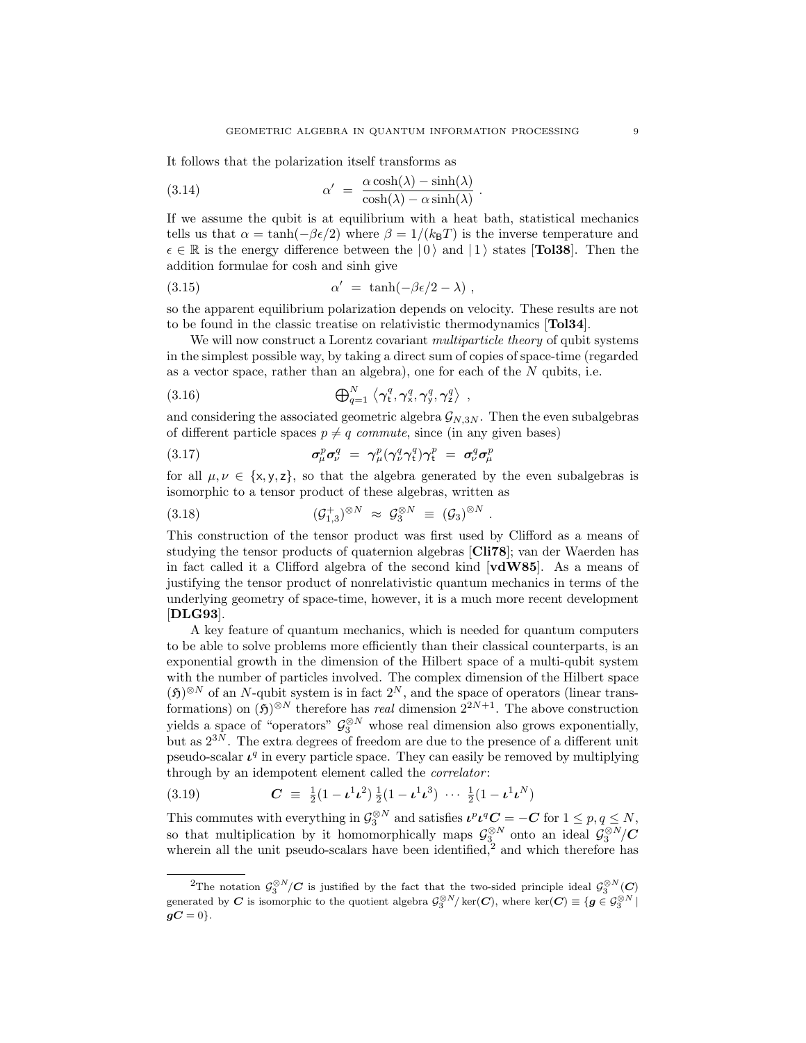It follows that the polarization itself transforms as

(3.14) 
$$
\alpha' = \frac{\alpha \cosh(\lambda) - \sinh(\lambda)}{\cosh(\lambda) - \alpha \sinh(\lambda)}.
$$

If we assume the qubit is at equilibrium with a heat bath, statistical mechanics tells us that  $\alpha = \tanh(-\beta \epsilon/2)$  where  $\beta = 1/(k_B T)$  is the inverse temperature and  $\epsilon \in \mathbb{R}$  is the energy difference between the  $|0\rangle$  and  $|1\rangle$  states [**Tol38**]. Then the addition formulae for cosh and sinh give

(3.15) 
$$
\alpha' = \tanh(-\beta \epsilon/2 - \lambda) ,
$$

so the apparent equilibrium polarization depends on velocity. These results are not to be found in the classic treatise on relativistic thermodynamics [Tol34].

We will now construct a Lorentz covariant *multiparticle theory* of qubit systems in the simplest possible way, by taking a direct sum of copies of space-time (regarded as a vector space, rather than an algebra), one for each of the  $N$  qubits, i.e.

$$
(3.16) \qquad \qquad \bigoplus_{q=1}^{N} \left\langle \gamma_{t}^{q}, \gamma_{x}^{q}, \gamma_{y}^{q}, \gamma_{z}^{q} \right\rangle
$$

and considering the associated geometric algebra  $\mathcal{G}_{N,3N}$ . Then the even subalgebras of different particle spaces  $p \neq q$  commute, since (in any given bases)

,

(3.17) 
$$
\sigma_{\mu}^{p} \sigma_{\nu}^{q} = \gamma_{\mu}^{p} (\gamma_{\nu}^{q} \gamma_{t}^{q}) \gamma_{t}^{p} = \sigma_{\nu}^{q} \sigma_{\mu}^{p}
$$

for all  $\mu, \nu \in \{x, y, z\}$ , so that the algebra generated by the even subalgebras is isomorphic to a tensor product of these algebras, written as

(3.18) 
$$
(\mathcal{G}_{1,3}^+)^{\otimes N} \approx \mathcal{G}_3^{\otimes N} \equiv (\mathcal{G}_3)^{\otimes N}.
$$

This construction of the tensor product was first used by Clifford as a means of studying the tensor products of quaternion algebras [Cli78]; van der Waerden has in fact called it a Clifford algebra of the second kind [vdW85]. As a means of justifying the tensor product of nonrelativistic quantum mechanics in terms of the underlying geometry of space-time, however, it is a much more recent development [DLG93].

A key feature of quantum mechanics, which is needed for quantum computers to be able to solve problems more efficiently than their classical counterparts, is an exponential growth in the dimension of the Hilbert space of a multi-qubit system with the number of particles involved. The complex dimension of the Hilbert space  $(f)$ <sup>⊗N</sup> of an N-qubit system is in fact  $2^N$ , and the space of operators (linear transformations) on  $(\mathfrak{H})^{\otimes N}$  therefore has *real* dimension  $2^{2N+1}$ . The above construction yields a space of "operators"  $\mathcal{G}_3^{\otimes N}$  whose real dimension also grows exponentially, but as  $2^{3N}$ . The extra degrees of freedom are due to the presence of a different unit pseudo-scalar  $\mathcal{L}^q$  in every particle space. They can easily be removed by multiplying through by an idempotent element called the *correlator*:

(3.19) 
$$
C \equiv \frac{1}{2}(1 - \iota^1 \iota^2) \frac{1}{2}(1 - \iota^1 \iota^3) \cdots \frac{1}{2}(1 - \iota^1 \iota^N)
$$

This commutes with everything in  $\mathcal{G}_3^{\otimes N}$  and satisfies  $\iota^p \iota^q C = -C$  for  $1 \leq p, q \leq N$ , so that multiplication by it homomorphically maps  $\mathcal{G}_3^{\otimes N}$  onto an ideal  $\mathcal{G}_3^{\otimes N}/\mathbf{C}$ wherein all the unit pseudo-scalars have been identified,<sup>2</sup> and which therefore has

<sup>&</sup>lt;sup>2</sup>The notation  $\mathcal{G}_3^{\otimes N}/\mathbf{C}$  is justified by the fact that the two-sided principle ideal  $\mathcal{G}_3^{\otimes N}(\mathbf{C})$ generated by C is isomorphic to the quotient algebra  $\mathcal{G}_3^{\otimes N}/\ker(C)$ , where  $\ker(C) \equiv \{g \in \mathcal{G}_3^{\otimes N} \mid$  $qC = 0$ .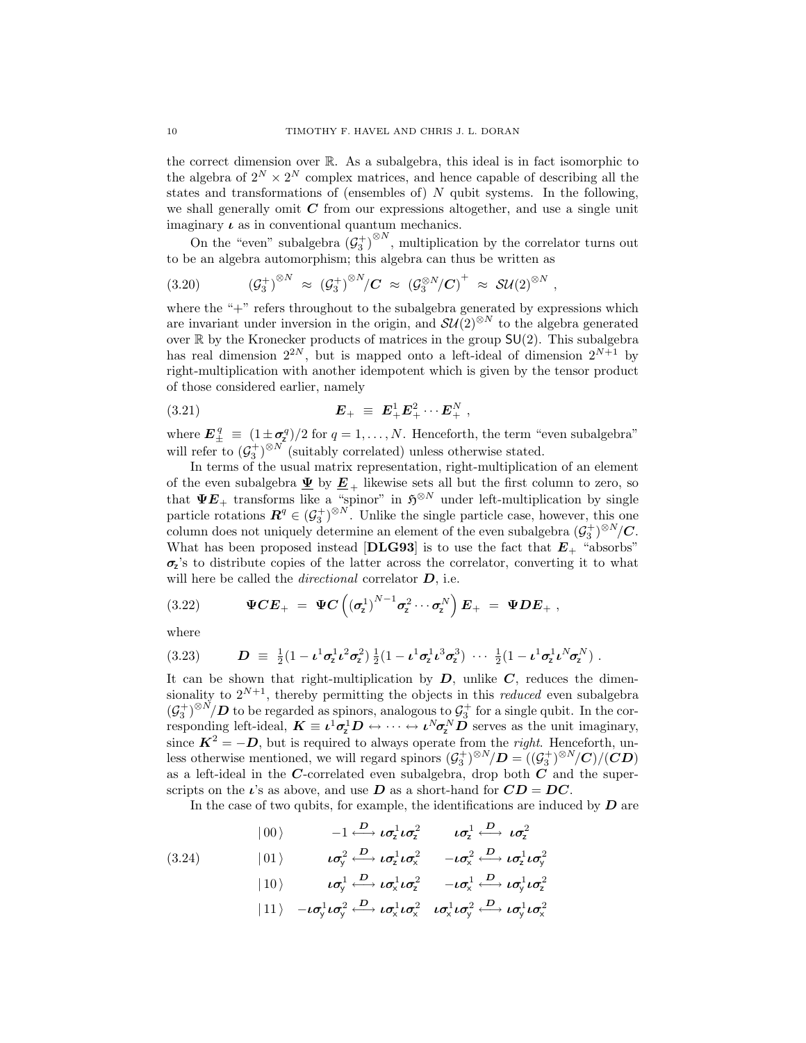the correct dimension over R. As a subalgebra, this ideal is in fact isomorphic to the algebra of  $2^N \times 2^N$  complex matrices, and hence capable of describing all the states and transformations of (ensembles of)  $N$  qubit systems. In the following, we shall generally omit  $C$  from our expressions altogether, and use a single unit imaginary  $\iota$  as in conventional quantum mechanics.

On the "even" subalgebra  $(G_3^+)^{\otimes N}$ , multiplication by the correlator turns out to be an algebra automorphism; this algebra can thus be written as

(3.20) 
$$
\left(\mathcal{G}_3^+\right)^{\otimes N} \approx \left(\mathcal{G}_3^+\right)^{\otimes N} / C \approx \left(\mathcal{G}_3^{\otimes N} / C\right)^+ \approx \mathcal{SU}(2)^{\otimes N},
$$

where the "+" refers throughout to the subalgebra generated by expressions which are invariant under inversion in the origin, and  $SU(2)^{\otimes N}$  to the algebra generated over  $\mathbb R$  by the Kronecker products of matrices in the group  $SU(2)$ . This subalgebra has real dimension  $2^{2N}$ , but is mapped onto a left-ideal of dimension  $2^{N+1}$  by right-multiplication with another idempotent which is given by the tensor product of those considered earlier, namely

(3.21) 
$$
E_{+} \equiv E_{+}^{1} E_{+}^{2} \cdots E_{+}^{N},
$$

where  $\mathbf{E}_{\pm}^q \equiv (1 \pm \sigma_2^q)/2$  for  $q = 1, ..., N$ . Henceforth, the term "even subalgebra" will refer to  $(\mathcal{G}_3^+)^{\otimes N}$  (suitably correlated) unless otherwise stated.

In terms of the usual matrix representation, right-multiplication of an element of the even subalgebra  $\underline{\Psi}$  by  $\underline{E}_+$  likewise sets all but the first column to zero, so that  $\Psi E_+$  transforms like a "spinor" in  $\mathfrak{H}^{\otimes N}$  under left-multiplication by single particle rotations  $\mathbf{R}^q \in (\mathcal{G}_3^+)^{\otimes N}$ . Unlike the single particle case, however, this one column does not uniquely determine an element of the even subalgebra  $(\mathcal{G}_3^+)^{\otimes N}/\mathbf{C}$ . What has been proposed instead [DLG93] is to use the fact that  $E_{+}$  "absorbs"  $\sigma$ 's to distribute copies of the latter across the correlator, converting it to what will here be called the *directional* correlator  $D$ , i.e.

(3.22) 
$$
\Psi CE_{+} = \Psi C \left( \left( \sigma_z^1 \right)^{N-1} \sigma_z^2 \cdots \sigma_z^N \right) E_{+} = \Psi DE_{+},
$$

where

$$
(3.23) \qquad \mathbf{D} \equiv \frac{1}{2}(1-\mathbf{L}^1\sigma_z^1\mathbf{L}^2\sigma_z^2)\frac{1}{2}(1-\mathbf{L}^1\sigma_z^1\mathbf{L}^3\sigma_z^3)\ \cdots\ \frac{1}{2}(1-\mathbf{L}^1\sigma_z^1\mathbf{L}^N\sigma_z^N)\ .
$$

It can be shown that right-multiplication by  $D$ , unlike  $C$ , reduces the dimensionality to  $2^{N+1}$ , thereby permitting the objects in this *reduced* even subalgebra  $(\mathcal{G}_3^+)^{\otimes N}/D$  to be regarded as spinors, analogous to  $\mathcal{G}_3^+$  for a single qubit. In the corresponding left-ideal,  $K \equiv \iota^1 \sigma^1_z D \leftrightarrow \cdots \leftrightarrow \iota^N \sigma^N_z D$  serves as the unit imaginary, since  $K^2 = -D$ , but is required to always operate from the *right*. Henceforth, unless otherwise mentioned, we will regard spinors  $(\mathcal{G}_3^+)^{\otimes N}/D = ((\mathcal{G}_3^+)^{\otimes N}/C)/(\mathbb{C}D)$ as a left-ideal in the  $C$ -correlated even subalgebra, drop both  $\overrightarrow{C}$  and the superscripts on the  $\iota$ 's as above, and use D as a short-hand for  $CD = DC$ .

In the case of two qubits, for example, the identifications are induced by  $\bm{D}$  are

 $\ket{00} \qquad \quad -1 \stackrel{D}{\longleftrightarrow} \iota \sigma_{\textsf{z}}^1 \iota \sigma_{\textsf{z}}^2 \qquad \quad \iota \sigma_{\textsf{z}}^1 \stackrel{D}{\longleftrightarrow} \iota \sigma_{\textsf{z}}^2$ 

$$
(3.24) \t\t\t  $\iota \sigma_y^2 \stackrel{D}{\longleftrightarrow} \iota \sigma_z^1 \iota \sigma_x^2 \quad -\iota \sigma_x^2 \stackrel{D}{\longleftrightarrow} \iota \sigma_z^1 \iota \sigma_y^2$
$$

$$
| \hspace{.06cm} 10 \hspace{.05cm} \rangle \hspace{1.4cm} \iota \sigma_{\!\scriptscriptstyle\mathsf{y}}^1 \stackrel{D}{\longleftrightarrow} \iota \sigma_{\!\scriptscriptstyle \mathsf{x}}^1 \iota \sigma_{\!\scriptscriptstyle \mathsf{z}}^2 \hspace{1.4cm} - \iota \sigma_{\!\scriptscriptstyle \mathsf{x}}^1 \stackrel{D}{\longleftrightarrow} \iota \sigma_{\!\scriptscriptstyle\mathsf{y}}^1 \iota \sigma_{\!\scriptscriptstyle\mathsf{z}}^2
$$

$$
|11\rangle - \iota \sigma_{y}^{1} \iota \sigma_{y}^{2} \stackrel{D}{\longleftrightarrow} \iota \sigma_{x}^{1} \iota \sigma_{x}^{2} \quad \iota \sigma_{x}^{1} \iota \sigma_{y}^{2} \stackrel{D}{\longleftrightarrow} \iota \sigma_{y}^{1} \iota \sigma_{x}^{2}
$$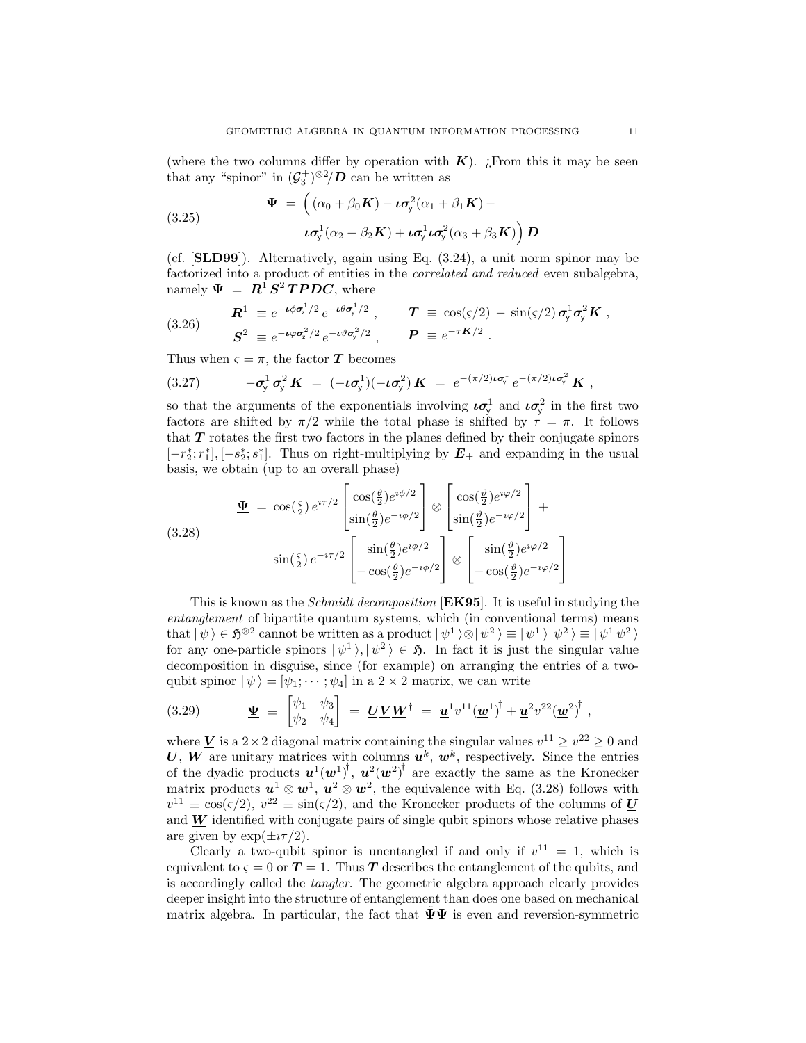(where the two columns differ by operation with  $K$ ). ¿From this it may be seen that any "spinor" in  $(\mathcal{G}_3^{\dagger})^{\otimes 2}/\mathbf{D}$  can be written as

(3.25) 
$$
\Psi = \left( (\alpha_0 + \beta_0 \mathbf{K}) - \iota \sigma_y^2 (\alpha_1 + \beta_1 \mathbf{K}) - \iota \sigma_y^1 (\alpha_2 + \beta_2 \mathbf{K}) + \iota \sigma_y^1 \iota \sigma_y^2 (\alpha_3 + \beta_3 \mathbf{K}) \right) \mathbf{D}
$$

(cf. [SLD99]). Alternatively, again using Eq. (3.24), a unit norm spinor may be factorized into a product of entities in the correlated and reduced even subalgebra, namely  $\Psi = \mathbf{R}^{\text{I}} \mathbf{S}^{\text{2}} \mathbf{T} \mathbf{P} \mathbf{D} \mathbf{C}$ , where

(3.26) 
$$
\mathbf{R}^1 \equiv e^{-\iota\phi\sigma_z^1/2} e^{-\iota\theta\sigma_y^1/2} , \qquad \mathbf{T} \equiv \cos(\varsigma/2) - \sin(\varsigma/2) \sigma_y^1 \sigma_y^2 \mathbf{K} ,
$$

$$
\mathbf{S}^2 \equiv e^{-\iota\varphi\sigma_z^2/2} e^{-\iota\vartheta\sigma_y^2/2} , \qquad \mathbf{P} \equiv e^{-\tau \mathbf{K}/2} .
$$

Thus when  $\varsigma = \pi$ , the factor T becomes

(3.27) 
$$
-\sigma_y^1 \sigma_y^2 K = (-\iota \sigma_y^1)(-\iota \sigma_y^2) K = e^{-(\pi/2)\iota \sigma_y^1} e^{-(\pi/2)\iota \sigma_y^2} K,
$$

so that the arguments of the exponentials involving  $\iota \sigma_y^1$  and  $\iota \sigma_y^2$  in the first two factors are shifted by  $\pi/2$  while the total phase is shifted by  $\tau = \pi$ . It follows that  $T$  rotates the first two factors in the planes defined by their conjugate spinors  $[-r_2^*; r_1^*], [-s_2^*; s_1^*].$  Thus on right-multiplying by  $E_+$  and expanding in the usual basis, we obtain (up to an overall phase)

$$
\underline{\Psi} = \cos(\frac{\varsigma}{2}) e^{i\tau/2} \begin{bmatrix} \cos(\frac{\theta}{2}) e^{i\phi/2} \\ \sin(\frac{\theta}{2}) e^{-i\phi/2} \end{bmatrix} \otimes \begin{bmatrix} \cos(\frac{\vartheta}{2}) e^{i\varphi/2} \\ \sin(\frac{\vartheta}{2}) e^{-i\varphi/2} \end{bmatrix} +
$$
  

$$
(\frac{\varsigma}{2}) e^{-i\tau/2} \begin{bmatrix} \sin(\frac{\theta}{2}) e^{i\phi/2} \\ -\cos(\frac{\theta}{2}) e^{-i\phi/2} \end{bmatrix} \otimes \begin{bmatrix} \sin(\frac{\vartheta}{2}) e^{i\varphi/2} \\ -\cos(\frac{\vartheta}{2}) e^{-i\varphi/2} \end{bmatrix}
$$

This is known as the *Schmidt decomposition* [**EK95**]. It is useful in studying the entanglement of bipartite quantum systems, which (in conventional terms) means that  $|\psi\rangle \in \mathfrak{H}^{\otimes 2}$  cannot be written as a product  $|\psi^1\rangle \otimes |\psi^2\rangle \equiv |\psi^1\rangle |\psi^2\rangle \equiv |\psi^1\psi^2\rangle$ for any one-particle spinors  $|\psi^1\rangle, |\psi^2\rangle \in \mathfrak{H}$ . In fact it is just the singular value decomposition in disguise, since (for example) on arranging the entries of a twoqubit spinor  $|\psi\rangle = [\psi_1; \cdots; \psi_4]$  in a  $2 \times 2$  matrix, we can write

$$
(3.29) \qquad \mathbf{\underline{\Psi}} \equiv \begin{bmatrix} \psi_1 & \psi_3 \\ \psi_2 & \psi_4 \end{bmatrix} = \mathbf{\underline{U}} \mathbf{\underline{V}} \mathbf{\underline{W}}^{\dagger} = \mathbf{\underline{u}}^1 v^{11} (\mathbf{\underline{w}}^1)^{\dagger} + \mathbf{\underline{u}}^2 v^{22} (\mathbf{\underline{w}}^2)^{\dagger} ,
$$

where V is a  $2 \times 2$  diagonal matrix containing the singular values  $v^{11} \ge v^{22} \ge 0$  and  $\underline{U}, \underline{W}$  are unitary matrices with columns  $\underline{u}^k, \underline{w}^k$ , respectively. Since the entries of the dyadic products  $\mathbf{u}^1(\mathbf{w}^1)^{\dagger}$ ,  $\mathbf{u}^2(\mathbf{w}^2)^{\dagger}$  are exactly the same as the Kronecker matrix products  $\underline{\mathbf{u}}^1 \otimes \underline{\mathbf{w}}^1$ ,  $\underline{\mathbf{u}}^2 \otimes \underline{\mathbf{w}}^2$ , the equivalence with Eq. (3.28) follows with  $v^{11} \equiv \cos(\frac{\varsigma}{2}), v^{22} \equiv \sin(\frac{\varsigma}{2}),$  and the Kronecker products of the columns of  $U$ and  $W$  identified with conjugate pairs of single qubit spinors whose relative phases are given by  $\exp(\pm i\tau/2)$ .

Clearly a two-qubit spinor is unentangled if and only if  $v^{11} = 1$ , which is equivalent to  $\zeta = 0$  or  $T = 1$ . Thus T describes the entanglement of the qubits, and is accordingly called the tangler. The geometric algebra approach clearly provides deeper insight into the structure of entanglement than does one based on mechanical matrix algebra. In particular, the fact that  $\Psi\Psi$  is even and reversion-symmetric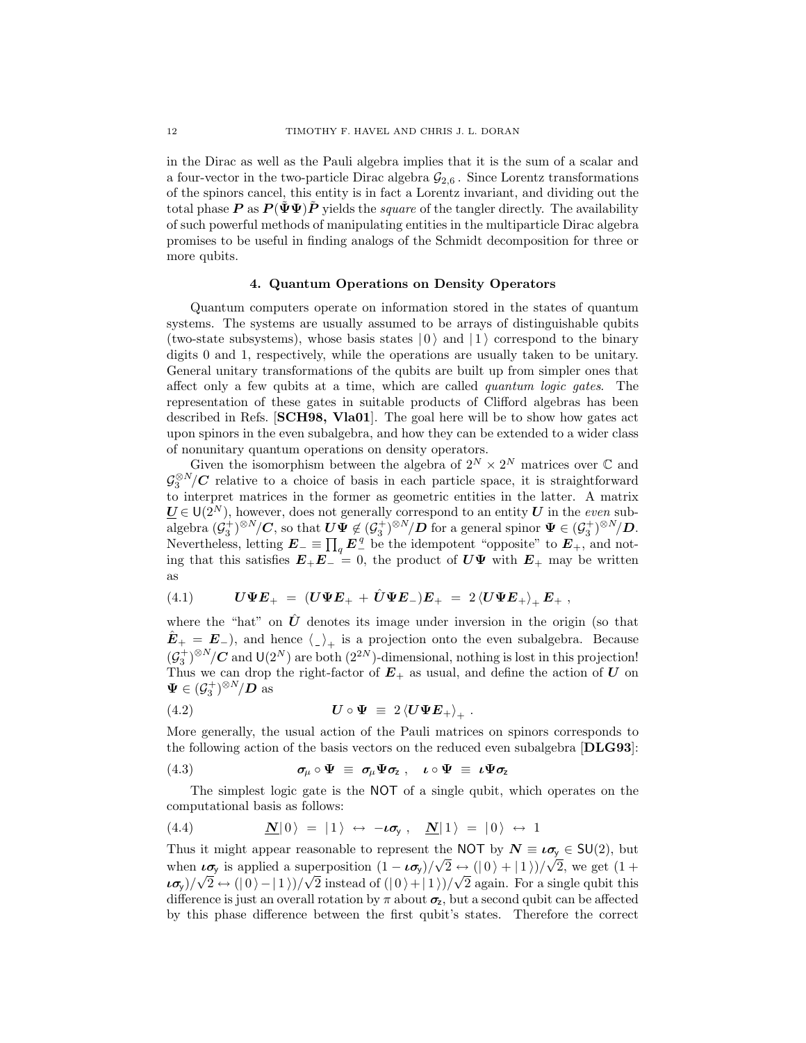in the Dirac as well as the Pauli algebra implies that it is the sum of a scalar and a four-vector in the two-particle Dirac algebra  $\mathcal{G}_{2,6}$ . Since Lorentz transformations of the spinors cancel, this entity is in fact a Lorentz invariant, and dividing out the total phase P as  $P(\Psi\Psi)P$  yields the square of the tangler directly. The availability of such powerful methods of manipulating entities in the multiparticle Dirac algebra promises to be useful in finding analogs of the Schmidt decomposition for three or more qubits.

# 4. Quantum Operations on Density Operators

Quantum computers operate on information stored in the states of quantum systems. The systems are usually assumed to be arrays of distinguishable qubits (two-state subsystems), whose basis states  $|0\rangle$  and  $|1\rangle$  correspond to the binary digits 0 and 1, respectively, while the operations are usually taken to be unitary. General unitary transformations of the qubits are built up from simpler ones that affect only a few qubits at a time, which are called quantum logic gates. The representation of these gates in suitable products of Clifford algebras has been described in Refs. [SCH98, Vla01]. The goal here will be to show how gates act upon spinors in the even subalgebra, and how they can be extended to a wider class of nonunitary quantum operations on density operators.

Given the isomorphism between the algebra of  $2^N \times 2^N$  matrices over  $\mathbb C$  and  $\mathcal{G}_3^{\otimes N}/\mathbf{C}$  relative to a choice of basis in each particle space, it is straightforward to interpret matrices in the former as geometric entities in the latter. A matrix  $\underline{U} \in U(2^N)$ , however, does not generally correspond to an entity U in the even sub- $\overline{\text{algebra}}\,\,(\mathcal{G}_3^+)^{\otimes N}/\mathbf{C}$ , so that  $\mathbf{U}\breve{\mathbf{\Psi}} \not\in (\mathcal{G}_3^+)^{\otimes N}/\mathbf{D}$  for a general spinor  $\mathbf{\Psi} \in (\mathcal{G}_3^+)^{\otimes N}/\mathbf{D}$ . Nevertheless, letting  $E_{-} \equiv \prod_{q} E_{-}^{q}$  be the idempotent "opposite" to  $E_{+}$ , and noting that this satisfies  $E_+E_-=0$ , the product of  $U\Psi$  with  $E_+$  may be written as

(4.1) 
$$
U\Psi E_{+} = (U\Psi E_{+} + \hat{U}\Psi E_{-})E_{+} = 2 \langle U\Psi E_{+} \rangle_{+} E_{+} ,
$$

where the "hat" on  $\hat{U}$  denotes its image under inversion in the origin (so that  $\hat{E}_+ = E_-$ ), and hence  $\langle \rangle_+$  is a projection onto the even subalgebra. Because  $(\mathcal{G}_3^+)^{\otimes N}/\mathbb{C}$  and  $\mathsf{U}(2^N)$  are both  $(2^{2N})$ -dimensional, nothing is lost in this projection! Thus we can drop the right-factor of  $E_{+}$  as usual, and define the action of U on  $\Psi \in (\mathcal{G}_3^+)^{\otimes N}/D$  as

(4.2) 
$$
\boldsymbol{U} \circ \boldsymbol{\Psi} \equiv 2 \left\langle \boldsymbol{U} \boldsymbol{\Psi} \boldsymbol{E}_+ \right\rangle_+ .
$$

More generally, the usual action of the Pauli matrices on spinors corresponds to the following action of the basis vectors on the reduced even subalgebra [DLG93]:

(4.3) 
$$
\sigma_{\mu} \circ \Psi \equiv \sigma_{\mu} \Psi \sigma_{z} , \quad \iota \circ \Psi \equiv \iota \Psi \sigma_{z}
$$

The simplest logic gate is the NOT of a single qubit, which operates on the computational basis as follows:

(4.4) 
$$
\mathbf{N} |0\rangle = |1\rangle \leftrightarrow -\iota \sigma_{y}, \quad \mathbf{N} |1\rangle = |0\rangle \leftrightarrow 1
$$

Thus it might appear reasonable to represent the NOT by  $N \equiv \iota \sigma_y \in SU(2)$ , but when  $\iota \sigma_y$  is applied a superposition  $(1 - \iota \sigma_y)/\sqrt{2} \leftrightarrow (0 + 1)/\sqrt{2}$ , we get  $(1 +$  $(\iota \sigma_y)/\sqrt{2} \leftrightarrow (|0\rangle - |1\rangle)/\sqrt{2}$  instead of  $(|0\rangle + |1\rangle)/\sqrt{2}$  again. For a single qubit this difference is just an overall rotation by  $\pi$  about  $\sigma_z$ , but a second qubit can be affected by this phase difference between the first qubit's states. Therefore the correct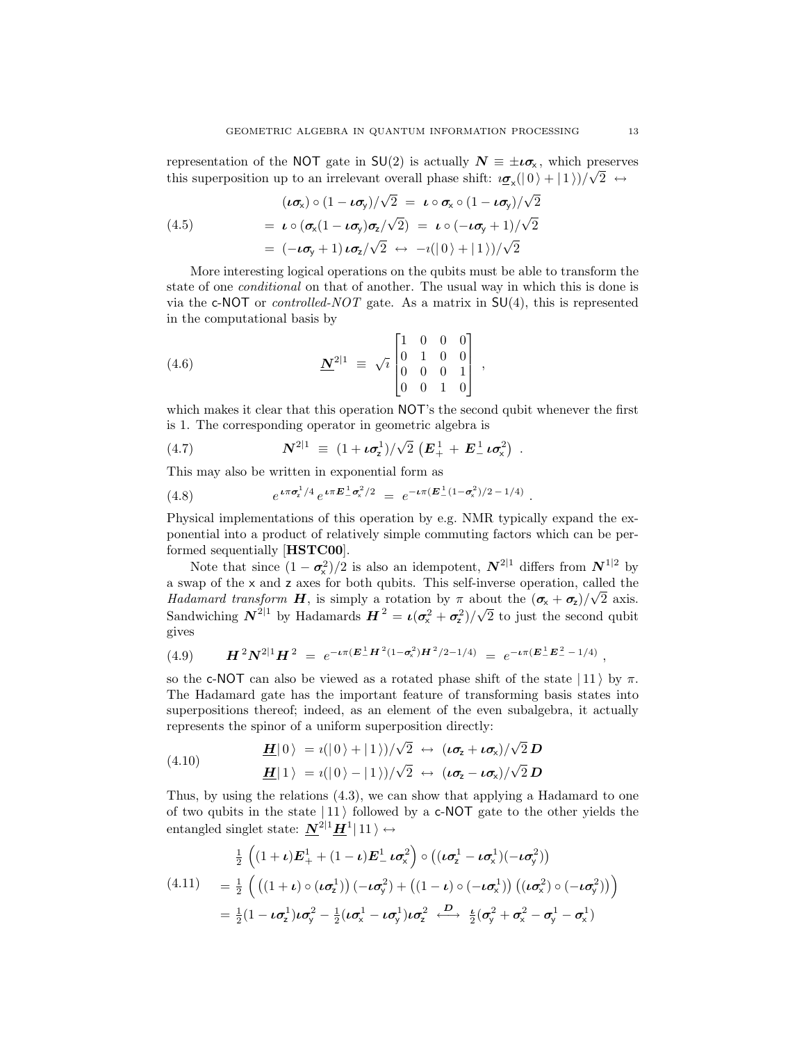representation of the NOT gate in  $SU(2)$  is actually  $N = \pm i\sigma_{\rm x}$ , which preserves this superposition up to an irrelevant overall phase shift:  $i\sigma_x(|0\rangle + |1\rangle)/\sqrt{2} \leftrightarrow$ 

(4.5)  
\n
$$
(\iota \sigma_x) \circ (1 - \iota \sigma_y) / \sqrt{2} = \iota \circ \sigma_x \circ (1 - \iota \sigma_y) / \sqrt{2}
$$
\n
$$
= \iota \circ (\sigma_x (1 - \iota \sigma_y) \sigma_z / \sqrt{2}) = \iota \circ (-\iota \sigma_y + 1) / \sqrt{2}
$$
\n
$$
= (-\iota \sigma_y + 1) \iota \sigma_z / \sqrt{2} \leftrightarrow -\iota(|0\rangle + |1\rangle) / \sqrt{2}
$$

More interesting logical operations on the qubits must be able to transform the state of one conditional on that of another. The usual way in which this is done is via the c-NOT or *controlled-NOT* gate. As a matrix in  $SU(4)$ , this is represented in the computational basis by

(4.6) 
$$
\underline{\mathbf{N}}^{2|1} \equiv \sqrt{i} \begin{bmatrix} 1 & 0 & 0 & 0 \\ 0 & 1 & 0 & 0 \\ 0 & 0 & 0 & 1 \\ 0 & 0 & 1 & 0 \end{bmatrix},
$$

which makes it clear that this operation NOT's the second qubit whenever the first is 1. The corresponding operator in geometric algebra is √

(4.7) 
$$
N^{2|1} \equiv (1 + \iota \sigma_2^1)/\sqrt{2} \left( E_+^1 + E_-^1 \iota \sigma_\times^2 \right) .
$$

This may also be written in exponential form as

(4.8) 
$$
e^{\iota \pi \sigma_z^1/4} e^{\iota \pi E_{-}^1 \sigma_x^2/2} = e^{-\iota \pi (E_{-}^1 (1 - \sigma_x^2)/2 - 1/4)}
$$

Physical implementations of this operation by e.g. NMR typically expand the exponential into a product of relatively simple commuting factors which can be performed sequentially [HSTC00].

.

Note that since  $(1 - \sigma_{\rm x}^2)/2$  is also an idempotent,  $N^{2|1}$  differs from  $N^{1|2}$  by a swap of the x and z axes for both qubits. This self-inverse operation, called the Hadamard transform H, is simply a rotation by  $\pi$  about the  $(\sigma_{\mathsf{x}} + \sigma_{\mathsf{z}})/\sqrt{2}$  axis. Sandwiching  $N^{2|1}$  by Hadamards  $H^2 = \iota(\sigma_x^2 + \sigma_z^2)/$ √ 2 to just the second qubit gives

(4.9) 
$$
\mathbf{H}^2 \mathbf{N}^{2|1} \mathbf{H}^2 = e^{-\iota \pi (\mathbf{E}^1_{-} \mathbf{H}^2 (1 - \sigma_x^2) \mathbf{H}^2 / 2 - 1/4)} = e^{-\iota \pi (\mathbf{E}^1_{-} \mathbf{E}^2_{-} - 1/4)},
$$

so the c-NOT can also be viewed as a rotated phase shift of the state  $|11\rangle$  by  $\pi$ . The Hadamard gate has the important feature of transforming basis states into superpositions thereof; indeed, as an element of the even subalgebra, it actually represents the spinor of a uniform superposition directly:

(4.10) 
$$
\mathbf{H}|0\rangle = i(|0\rangle + |1\rangle)/\sqrt{2} \leftrightarrow (\iota \sigma_z + \iota \sigma_x)/\sqrt{2} \mathbf{D}
$$

$$
\mathbf{H}|1\rangle = i(|0\rangle - |1\rangle)/\sqrt{2} \leftrightarrow (\iota \sigma_z - \iota \sigma_x)/\sqrt{2} \mathbf{D}
$$

Thus, by using the relations (4.3), we can show that applying a Hadamard to one of two qubits in the state  $|11\rangle$  followed by a c-NOT gate to the other yields the entangled singlet state:  $N^{2|1}H^1|11\rangle \leftrightarrow$ 

$$
\frac{1}{2}\left((1+\iota)\mathbf{E}_{+}^{1}+(1-\iota)\mathbf{E}_{-}^{1}\mathbf{L}\boldsymbol{\sigma}_{x}^{2}\right)\circ\left((\iota\boldsymbol{\sigma}_{z}^{1}-\iota\boldsymbol{\sigma}_{x}^{1})(-\iota\boldsymbol{\sigma}_{y}^{2})\right)
$$
\n
$$
(4.11) \quad =\frac{1}{2}\left(\left((1+\iota)\circ(\iota\boldsymbol{\sigma}_{z}^{1})\right)(-\iota\boldsymbol{\sigma}_{y}^{2})+\left((1-\iota)\circ(-\iota\boldsymbol{\sigma}_{x}^{1})\right)\left((\iota\boldsymbol{\sigma}_{x}^{2})\circ(-\iota\boldsymbol{\sigma}_{y}^{2})\right)\right)
$$
\n
$$
=\frac{1}{2}(1-\iota\boldsymbol{\sigma}_{z}^{1})\iota\boldsymbol{\sigma}_{y}^{2}-\frac{1}{2}(\iota\boldsymbol{\sigma}_{x}^{1}-\iota\boldsymbol{\sigma}_{y}^{1})\iota\boldsymbol{\sigma}_{z}^{2}\stackrel{D}{\longleftrightarrow}\frac{\iota}{2}(\boldsymbol{\sigma}_{y}^{2}+\boldsymbol{\sigma}_{x}^{2}-\boldsymbol{\sigma}_{y}^{1}-\boldsymbol{\sigma}_{x}^{1})
$$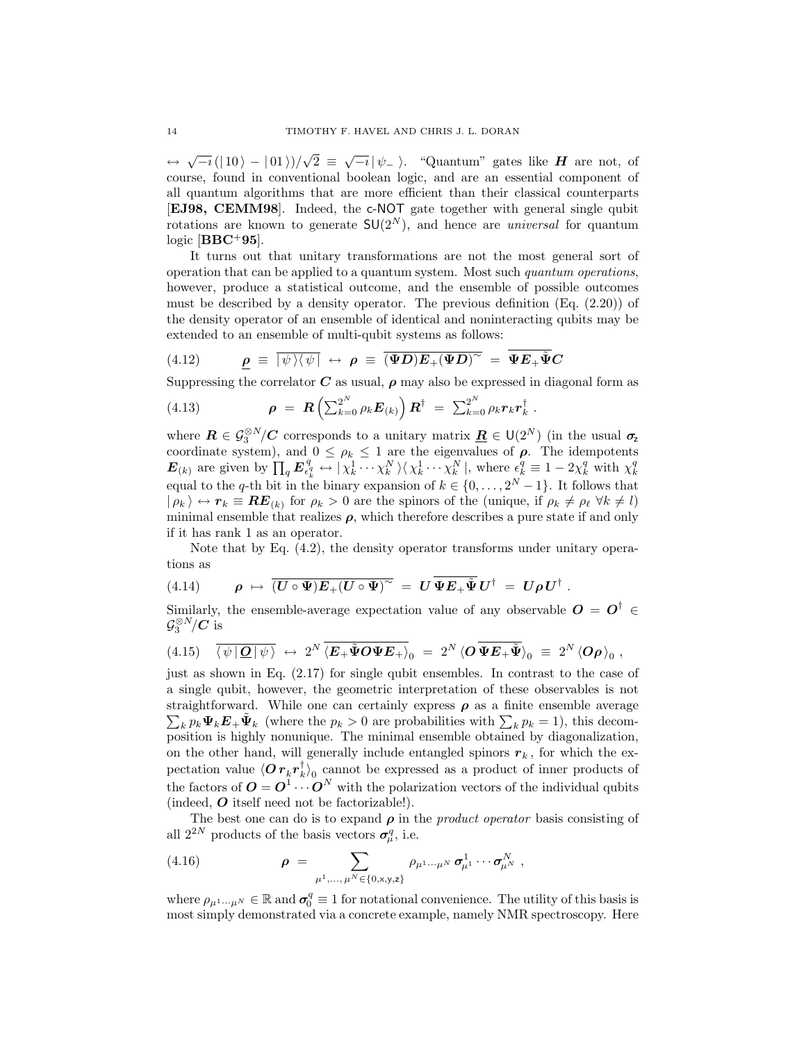$\leftrightarrow \sqrt{-i} (|10\rangle - |01\rangle)/$  $\overline{2} \equiv \sqrt{-i} |\psi_{-}\rangle$ . "Quantum" gates like **H** are not, of course, found in conventional boolean logic, and are an essential component of all quantum algorithms that are more efficient than their classical counterparts [EJ98, CEMM98]. Indeed, the c-NOT gate together with general single qubit rotations are known to generate  $SU(2^N)$ , and hence are *universal* for quantum logic  $[BBC+95]$ .

It turns out that unitary transformations are not the most general sort of operation that can be applied to a quantum system. Most such quantum operations, however, produce a statistical outcome, and the ensemble of possible outcomes must be described by a density operator. The previous definition  $(Eq. (2.20))$  of the density operator of an ensemble of identical and noninteracting qubits may be extended to an ensemble of multi-qubit systems as follows:

(4.12) 
$$
\underline{\rho} \equiv \overline{|\psi\rangle\langle\psi|} \leftrightarrow \rho \equiv \overline{(\Psi D)E_+(\Psi D)^\sim} = \overline{\Psi E_+\tilde{\Psi} C}
$$

Suppressing the correlator  $C$  as usual,  $\rho$  may also be expressed in diagonal form as

(4.13) 
$$
\rho = R\left(\sum_{k=0}^{2^N} \rho_k E_{(k)}\right) R^{\dagger} = \sum_{k=0}^{2^N} \rho_k r_k r_k^{\dagger}.
$$

where  $\mathbf{R} \in \mathcal{G}_3^{\otimes N}/\mathbf{C}$  corresponds to a unitary matrix  $\underline{\mathbf{R}} \in \mathsf{U}(2^N)$  (in the usual  $\sigma_z$ coordinate system), and  $0 \leq \rho_k \leq 1$  are the eigenvalues of  $\rho$ . The idempotents  $\boldsymbol{E}_{(k)}$  are given by  $\prod_{q} \boldsymbol{E}_{\epsilon_i^q}^q$  $\epsilon_k^q \leftrightarrow |\chi_k^1 \cdots \chi_k^N\rangle \langle \chi_k^1 \cdots \chi_k^N|$ , where  $\epsilon_k^q \equiv 1 - 2\chi_k^q$  with  $\chi_k^q$ equal to the q-th bit in the binary expansion of  $k \in \{0, \ldots, 2^N - 1\}$ . It follows that  $|\rho_k\rangle \leftrightarrow r_k \equiv \mathbf{RE}_{(k)}$  for  $\rho_k > 0$  are the spinors of the (unique, if  $\rho_k \neq \rho_\ell \ \forall k \neq l$ ) minimal ensemble that realizes  $\rho$ , which therefore describes a pure state if and only if it has rank 1 as an operator.

Note that by Eq. (4.2), the density operator transforms under unitary operations as

.

(4.14) 
$$
\rho \mapsto \overline{(U \circ \Psi)E_+(U \circ \Psi)}^{\sim} = U \overline{\Psi E_+ \widetilde{\Psi}} U^{\dagger} = U \rho U^{\dagger}
$$

Similarly, the ensemble-average expectation value of any observable  $O = O^{\dagger}$   $\in$  $\mathcal{G}_3^{\otimes N}/\overline{C}$  is

$$
(4.15) \quad \overline{\langle \psi | \mathcal{Q} | \psi \rangle} \leftrightarrow 2^N \overline{\langle \mathbf{E}_+ \tilde{\mathbf{\Psi}} \mathbf{O} \mathbf{\Psi} \mathbf{E}_+ \rangle}_0 = 2^N \langle \mathbf{O} \overline{\mathbf{\Psi}} \mathbf{E}_+ \tilde{\mathbf{\Psi}} \rangle_0 \equiv 2^N \langle \mathbf{O} \rho \rangle_0 ,
$$

just as shown in Eq. (2.17) for single qubit ensembles. In contrast to the case of a single qubit, however, the geometric interpretation of these observables is not straightforward. While one can certainly express  $\rho$  as a finite ensemble average  $\sum_k p_k \Psi_k E_+ \tilde{\Psi}_k$  (where the  $p_k > 0$  are probabilities with  $\sum_k p_k = 1$ ), this decomposition is highly nonunique. The minimal ensemble obtained by diagonalization, on the other hand, will generally include entangled spinors  $r_k$ , for which the expectation value  $\langle \overset{\cdot}{O} r_k^{} r_k^{\dagger}$  $\binom{1}{k}_0$  cannot be expressed as a product of inner products of  $\mathbf{0} \in \mathbf{C}^T$  is  $k \neq 0$  cannot be expressed as a product of linear products of the factors of  $\mathbf{O} = \mathbf{O}^1 \cdots \mathbf{O}^N$  with the polarization vectors of the individual qubits (indeed, O itself need not be factorizable!).

The best one can do is to expand  $\rho$  in the *product operator* basis consisting of all  $2^{2N}$  products of the basis vectors  $\sigma_{\mu}^q$ , i.e.

(4.16) 
$$
\rho = \sum_{\mu^1,\dots,\mu^N \in \{0,\mathbf{x},\mathbf{y},\mathbf{z}\}} \rho_{\mu^1\dots\mu^N} \sigma_{\mu^1}^1 \cdots \sigma_{\mu^N}^N,
$$

where  $\rho_{\mu^1\cdots\mu^N}\in\mathbb{R}$  and  $\sigma_0^q\equiv 1$  for notational convenience. The utility of this basis is most simply demonstrated via a concrete example, namely NMR spectroscopy. Here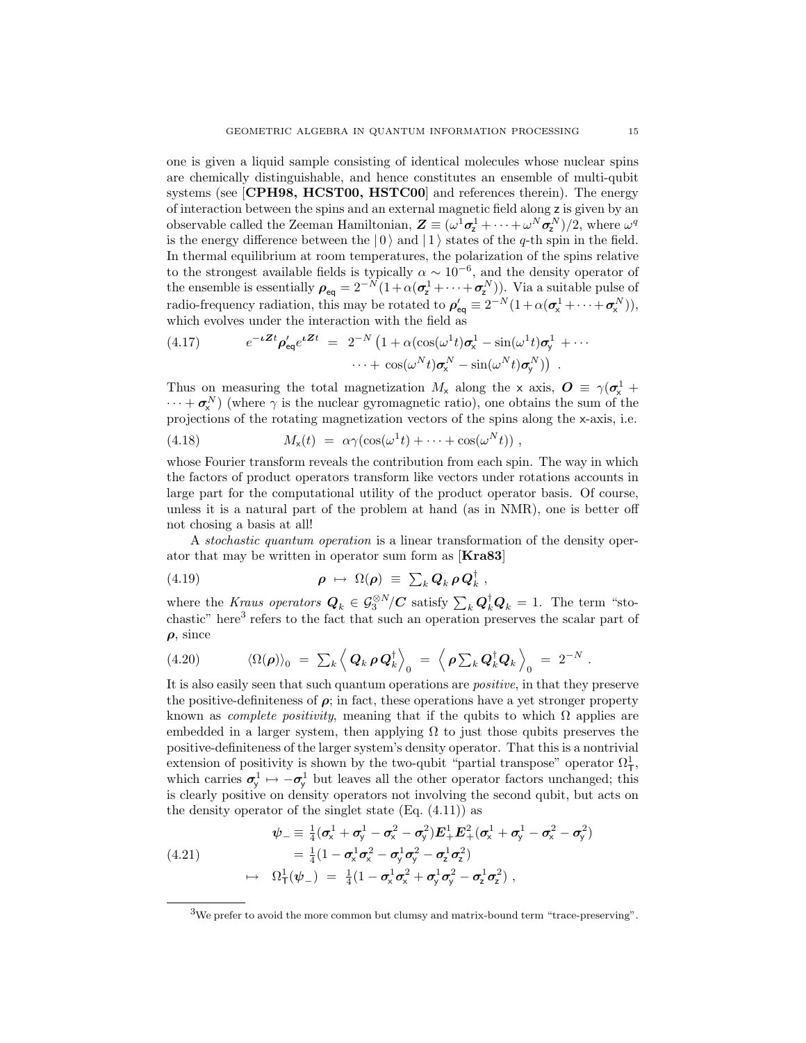one is given a liquid sample consisting of identical molecules whose nuclear spins are chemically distinguishable, and hence constitutes an ensemble of multi-qubit systems (see [CPH98, HCST00, HSTC00] and references therein). The energy of interaction between the spins and an external magnetic field along z is given by an observable called the Zeeman Hamiltonian,  $\mathbf{Z} \equiv (\omega^1 \sigma_1^1 + \cdots + \omega^N \sigma_2^N)/2$ , where  $\omega^q$ is the energy difference between the  $|0\rangle$  and  $|1\rangle$  states of the q-th spin in the field. In thermal equilibrium at room temperatures, the polarization of the spins relative to the strongest available fields is typically  $\alpha \sim 10^{-6}$ , and the density operator of the ensemble is essentially  $\rho_{eq} = 2^{-N} (1 + \alpha (\sigma_z^1 + \cdots + \sigma_z^N))$ . Via a suitable pulse of radio-frequency radiation, this may be rotated to  $\rho'_{eq} \equiv 2^{-N} (1 + \alpha (\sigma_x^1 + \cdots + \sigma_x^N)),$ which evolves under the interaction with the field as

(4.17) 
$$
e^{-\iota \mathbf{Z}t} \rho'_{\mathsf{eq}} e^{\iota \mathbf{Z}t} = 2^{-N} \left( 1 + \alpha (\cos(\omega^1 t) \sigma_x^1 - \sin(\omega^1 t) \sigma_y^1 + \cdots + \cos(\omega^N t) \sigma_x^N - \sin(\omega^N t) \sigma_y^N \right) .
$$

Thus on measuring the total magnetization  $M_{\rm x}$  along the x axis,  $\mathbf{O} \equiv \gamma(\sigma_{\rm x}^1 + \sigma_{\rm y}^2)$  $\cdots + \sigma_{\mathsf{x}}^N$ ) (where  $\gamma$  is the nuclear gyromagnetic ratio), one obtains the sum of the projections of the rotating magnetization vectors of the spins along the x-axis, i.e.

(4.18) 
$$
M_{\mathsf{x}}(t) = \alpha \gamma (\cos(\omega^1 t) + \cdots + \cos(\omega^N t)),
$$

whose Fourier transform reveals the contribution from each spin. The way in which the factors of product operators transform like vectors under rotations accounts in large part for the computational utility of the product operator basis. Of course, unless it is a natural part of the problem at hand (as in NMR), one is better off not chosing a basis at all!

A stochastic quantum operation is a linear transformation of the density operator that may be written in operator sum form as [Kra83]

,

(4.19) 
$$
\rho \mapsto \Omega(\rho) \equiv \sum_k Q_k \rho Q_k^{\dagger}
$$

where the Kraus operators  $Q_k \in \mathcal{G}_3^{\otimes N}/\mathbf{C}$  satisfy  $\sum_k \mathbf{Q}_k^{\dagger} \mathbf{Q}_k = 1$ . The term "stochastic" here<sup>3</sup> refers to the fact that such an operation preserves the scalar part of  $\rho$ , since

$$
(4.20) \t \langle \Omega(\boldsymbol{\rho}) \rangle_0 = \sum_k \left\langle \boldsymbol{Q}_k \, \boldsymbol{\rho} \, \boldsymbol{Q}_k^{\dagger} \right\rangle_0 = \left\langle \boldsymbol{\rho} \sum_k \boldsymbol{Q}_k^{\dagger} \boldsymbol{Q}_k \right\rangle_0 = 2^{-N}.
$$

It is also easily seen that such quantum operations are *positive*, in that they preserve the positive-definiteness of  $\rho$ ; in fact, these operations have a yet stronger property known as *complete positivity*, meaning that if the qubits to which  $\Omega$  applies are embedded in a larger system, then applying  $\Omega$  to just those qubits preserves the positive-definiteness of the larger system's density operator. That this is a nontrivial extension of positivity is shown by the two-qubit "partial transpose" operator  $\Omega^1_T$ , which carries  $\sigma_{y}^{1} \mapsto -\sigma_{y}^{1}$  but leaves all the other operator factors unchanged; this is clearly positive on density operators not involving the second qubit, but acts on the density operator of the singlet state  $(Eq. (4.11))$  as

$$
\psi_{-} \equiv \frac{1}{4} (\sigma_{x}^{1} + \sigma_{y}^{1} - \sigma_{x}^{2} - \sigma_{y}^{2}) E_{+}^{1} E_{+}^{2} (\sigma_{x}^{1} + \sigma_{y}^{1} - \sigma_{x}^{2} - \sigma_{y}^{2})
$$
\n
$$
= \frac{1}{4} (1 - \sigma_{x}^{1} \sigma_{x}^{2} - \sigma_{y}^{1} \sigma_{y}^{2} - \sigma_{z}^{1} \sigma_{z}^{2})
$$
\n
$$
\mapsto \Omega_{T}^{1} (\psi_{-}) = \frac{1}{4} (1 - \sigma_{x}^{1} \sigma_{x}^{2} + \sigma_{y}^{1} \sigma_{y}^{2} - \sigma_{z}^{1} \sigma_{z}^{2}),
$$

<sup>3</sup>We prefer to avoid the more common but clumsy and matrix-bound term "trace-preserving".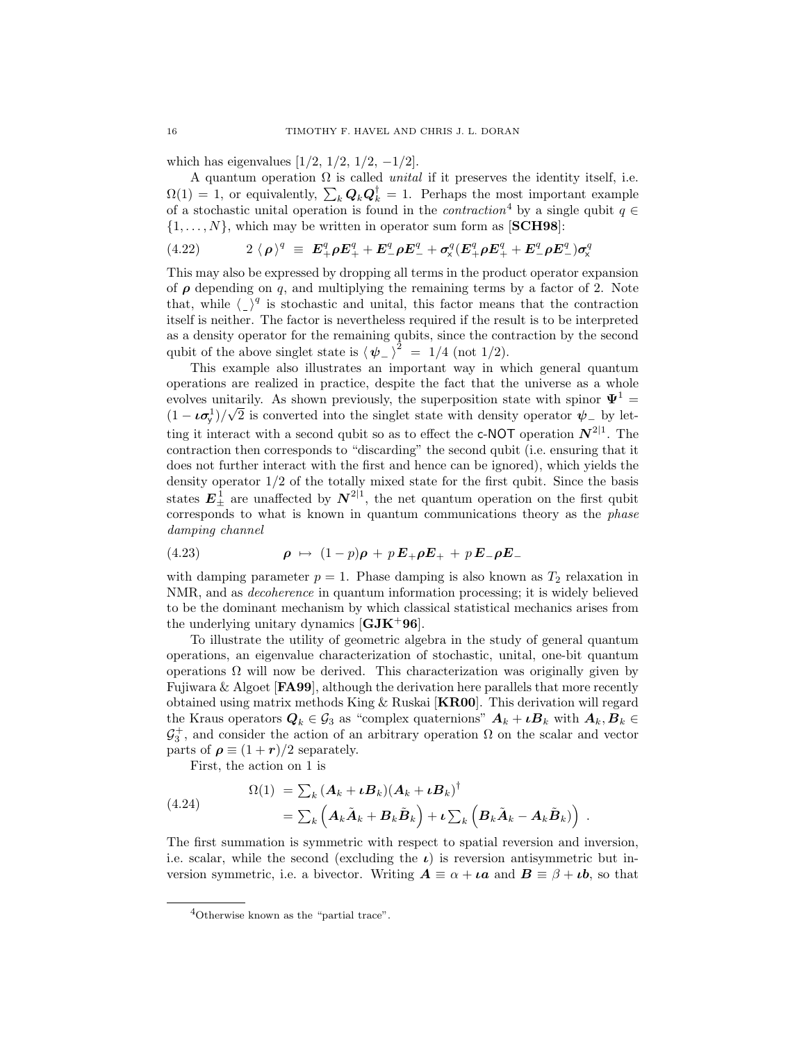which has eigenvalues  $[1/2, 1/2, 1/2, -1/2]$ .

A quantum operation  $\Omega$  is called *unital* if it preserves the identity itself, i.e.  $\Omega(1) = 1$ , or equivalently,  $\sum_{k} Q_{k} Q_{k}^{\dagger} = 1$ . Perhaps the most important example of a stochastic unital operation is found in the *contraction*<sup>4</sup> by a single qubit  $q \in$  $\{1, \ldots, N\}$ , which may be written in operator sum form as [SCH98]:

(4.22) 
$$
2 \langle \rho \rangle^{q} \equiv E_{+}^{q} \rho E_{+}^{q} + E_{-}^{q} \rho E_{-}^{q} + \sigma_{x}^{q} (E_{+}^{q} \rho E_{+}^{q} + E_{-}^{q} \rho E_{-}^{q}) \sigma_{x}^{q}
$$

This may also be expressed by dropping all terms in the product operator expansion of  $\rho$  depending on q, and multiplying the remaining terms by a factor of 2. Note that, while  $\langle \rangle^q$  is stochastic and unital, this factor means that the contraction itself is neither. The factor is nevertheless required if the result is to be interpreted as a density operator for the remaining qubits, since the contraction by the second qubit of the above singlet state is  $\langle \psi_- \rangle^2 = 1/4$  (not 1/2).

This example also illustrates an important way in which general quantum operations are realized in practice, despite the fact that the universe as a whole evolves unitarily. As shown previously, the superposition state with spinor  $\Psi^1$  =  $(1 - \iota \sigma_y^1)/\sqrt{2}$  is converted into the singlet state with density operator  $\psi$ <sub>-</sub> by letting it interact with a second qubit so as to effect the c-NOT operation  $N^{2|1}$ . The contraction then corresponds to "discarding" the second qubit (i.e. ensuring that it does not further interact with the first and hence can be ignored), which yields the density operator  $1/2$  of the totally mixed state for the first qubit. Since the basis states  $E_{+}^{1}$  are unaffected by  $N^{2|1}$ , the net quantum operation on the first qubit corresponds to what is known in quantum communications theory as the phase damping channel

(4.23) 
$$
\rho \mapsto (1-p)\rho + pE_+\rho E_+ + pE_-\rho E_-
$$

with damping parameter  $p = 1$ . Phase damping is also known as  $T_2$  relaxation in NMR, and as decoherence in quantum information processing; it is widely believed to be the dominant mechanism by which classical statistical mechanics arises from the underlying unitary dynamics  $[\mathbf{GJK}^+96]$ .

To illustrate the utility of geometric algebra in the study of general quantum operations, an eigenvalue characterization of stochastic, unital, one-bit quantum operations  $\Omega$  will now be derived. This characterization was originally given by Fujiwara & Algoet [FA99], although the derivation here parallels that more recently obtained using matrix methods King & Ruskai [KR00]. This derivation will regard the Kraus operators  $Q_k \in \mathcal{G}_3$  as "complex quaternions"  $A_k + \iota B_k$  with  $A_k, B_k \in \mathcal{G}_3$  $\mathcal{G}_3^+$ , and consider the action of an arbitrary operation  $\Omega$  on the scalar and vector parts of  $\rho \equiv (1+r)/2$  separately.

First, the action on 1 is

(4.24) 
$$
\Omega(1) = \sum_{k} (A_{k} + \iota B_{k})(A_{k} + \iota B_{k})^{\dagger} \n= \sum_{k} (A_{k} \tilde{A}_{k} + B_{k} \tilde{B}_{k}) + \iota \sum_{k} (B_{k} \tilde{A}_{k} - A_{k} \tilde{B}_{k}) .
$$

The first summation is symmetric with respect to spatial reversion and inversion, i.e. scalar, while the second (excluding the  $\iota$ ) is reversion antisymmetric but inversion symmetric, i.e. a bivector. Writing  $\mathbf{A} \equiv \alpha + \iota \mathbf{a}$  and  $\mathbf{B} \equiv \beta + \iota \mathbf{b}$ , so that

<sup>4</sup>Otherwise known as the "partial trace".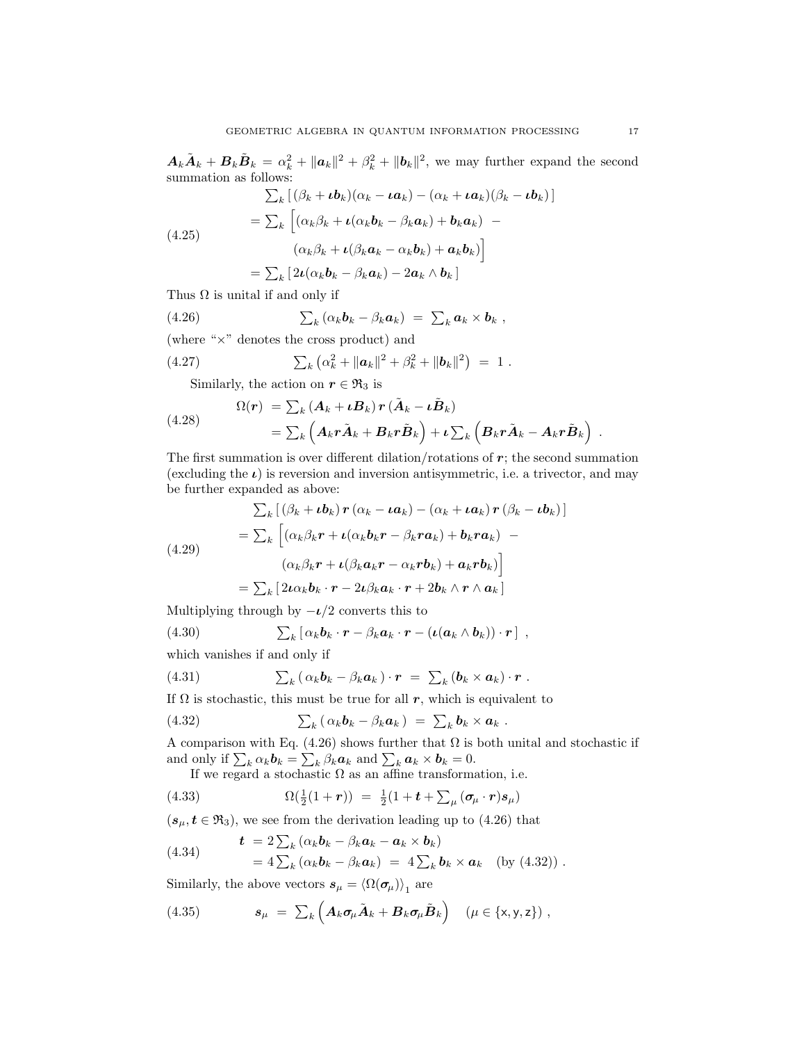$A_k\tilde{A}_k + B_k\tilde{B}_k = \alpha_k^2 + ||a_k||^2 + \beta_k^2 + ||b_k||^2$ , we may further expand the second summation as follows:

$$
\sum_{k} \left[ (\beta_{k} + \iota \mathbf{b}_{k})(\alpha_{k} - \iota \mathbf{a}_{k}) - (\alpha_{k} + \iota \mathbf{a}_{k})(\beta_{k} - \iota \mathbf{b}_{k}) \right]
$$
\n
$$
= \sum_{k} \left[ (\alpha_{k}\beta_{k} + \iota(\alpha_{k}\mathbf{b}_{k} - \beta_{k}\mathbf{a}_{k}) + \mathbf{b}_{k}\mathbf{a}_{k}) - (\alpha_{k}\beta_{k} + \iota(\beta_{k}\mathbf{a}_{k} - \alpha_{k}\mathbf{b}_{k}) + \mathbf{a}_{k}\mathbf{b}_{k}) \right]
$$
\n
$$
= \sum_{k} \left[ 2\iota(\alpha_{k}\mathbf{b}_{k} - \beta_{k}\mathbf{a}_{k}) - 2\mathbf{a}_{k} \wedge \mathbf{b}_{k} \right]
$$

Thus  $\Omega$  is unital if and only if

(4.26) 
$$
\sum_k (\alpha_k \boldsymbol{b}_k - \beta_k \boldsymbol{a}_k) = \sum_k \boldsymbol{a}_k \times \boldsymbol{b}_k,
$$

(where "×" denotes the cross product) and

(4.27) 
$$
\sum_{k} (\alpha_k^2 + ||\boldsymbol{a}_k||^2 + \beta_k^2 + ||\boldsymbol{b}_k||^2) = 1.
$$

Similarly, the action on  $r \in \mathfrak{R}_3$  is

(4.28) 
$$
\Omega(r) = \sum_{k} (A_k + \iota B_k) r (\tilde{A}_k - \iota \tilde{B}_k)
$$

$$
= \sum_{k} (A_k r \tilde{A}_k + B_k r \tilde{B}_k) + \iota \sum_{k} (B_k r \tilde{A}_k - A_k r \tilde{B}_k)
$$

The first summation is over different dilation/rotations of  $r$ ; the second summation (excluding the  $\iota$ ) is reversion and inversion antisymmetric, i.e. a trivector, and may be further expanded as above:

$$
\sum_{k} \left[ (\beta_{k} + \iota \mathbf{b}_{k}) \mathbf{r} \left( \alpha_{k} - \iota \mathbf{a}_{k} \right) - \left( \alpha_{k} + \iota \mathbf{a}_{k} \right) \mathbf{r} \left( \beta_{k} - \iota \mathbf{b}_{k} \right) \right]
$$
\n
$$
= \sum_{k} \left[ (\alpha_{k} \beta_{k} \mathbf{r} + \iota (\alpha_{k} \mathbf{b}_{k} \mathbf{r} - \beta_{k} \mathbf{r} \mathbf{a}_{k}) + \mathbf{b}_{k} \mathbf{r} \mathbf{a}_{k}) - (\alpha_{k} \beta_{k} \mathbf{r} + \iota (\beta_{k} \mathbf{a}_{k} \mathbf{r} - \alpha_{k} \mathbf{r} \mathbf{b}_{k}) + \mathbf{a}_{k} \mathbf{r} \mathbf{b}_{k}) \right]
$$
\n
$$
= \sum_{k} \left[ 2\iota \alpha_{k} \mathbf{b}_{k} \cdot \mathbf{r} - 2\iota \beta_{k} \mathbf{a}_{k} \cdot \mathbf{r} + 2\mathbf{b}_{k} \wedge \mathbf{r} \wedge \mathbf{a}_{k} \right]
$$

Multiplying through by  $-\iota/2$  converts this to

(4.30) 
$$
\sum_{k} [\alpha_{k} \boldsymbol{b}_{k} \cdot \boldsymbol{r} - \beta_{k} \boldsymbol{a}_{k} \cdot \boldsymbol{r} - (\boldsymbol{\iota}(\boldsymbol{a}_{k} \wedge \boldsymbol{b}_{k})) \cdot \boldsymbol{r}],
$$

which vanishes if and only if

(4.31) 
$$
\sum_{k} (\alpha_{k} \boldsymbol{b}_{k} - \beta_{k} \boldsymbol{a}_{k}) \cdot \boldsymbol{r} = \sum_{k} (\boldsymbol{b}_{k} \times \boldsymbol{a}_{k}) \cdot \boldsymbol{r}.
$$

If  $\Omega$  is stochastic, this must be true for all r, which is equivalent to

(4.32) 
$$
\sum_{k} (\alpha_{k} \boldsymbol{b}_{k} - \beta_{k} \boldsymbol{a}_{k}) = \sum_{k} \boldsymbol{b}_{k} \times \boldsymbol{a}_{k}.
$$

A comparison with Eq. (4.26) shows further that  $\Omega$  is both unital and stochastic if and only if  $\sum_k \alpha_k \mathbf{b}_k = \sum_k \beta_k \mathbf{a}_k$  and  $\sum_k \mathbf{a}_k \times \mathbf{b}_k = 0$ .

If we regard a stochastic  $\Omega$  as an affine transformation, i.e.

(4.33) 
$$
\Omega(\frac{1}{2}(1+r)) = \frac{1}{2}(1+t+\sum_{\mu}(\sigma_{\mu}\cdot r)s_{\mu})
$$

 $(s_\mu, t \in \mathfrak{R}_3)$ , we see from the derivation leading up to (4.26) that

(4.34) 
$$
\mathbf{t} = 2 \sum_{k} (\alpha_{k} \mathbf{b}_{k} - \beta_{k} \mathbf{a}_{k} - \mathbf{a}_{k} \times \mathbf{b}_{k})
$$

$$
= 4 \sum_{k} (\alpha_{k} \mathbf{b}_{k} - \beta_{k} \mathbf{a}_{k}) = 4 \sum_{k} \mathbf{b}_{k} \times \mathbf{a}_{k} \quad \text{(by (4.32))}.
$$

Similarly, the above vectors  $\bm{s}_{\mu} = \langle \Omega(\bm{\sigma_{\mu}}) \rangle_1$  are

(4.35) 
$$
\mathbf{s}_{\mu} = \sum_{k} \left( \mathbf{A}_{k} \boldsymbol{\sigma}_{\mu} \tilde{\mathbf{A}}_{k} + \mathbf{B}_{k} \boldsymbol{\sigma}_{\mu} \tilde{\mathbf{B}}_{k} \right) \quad (\mu \in \{\mathsf{x}, \mathsf{y}, \mathsf{z}\}) ,
$$

.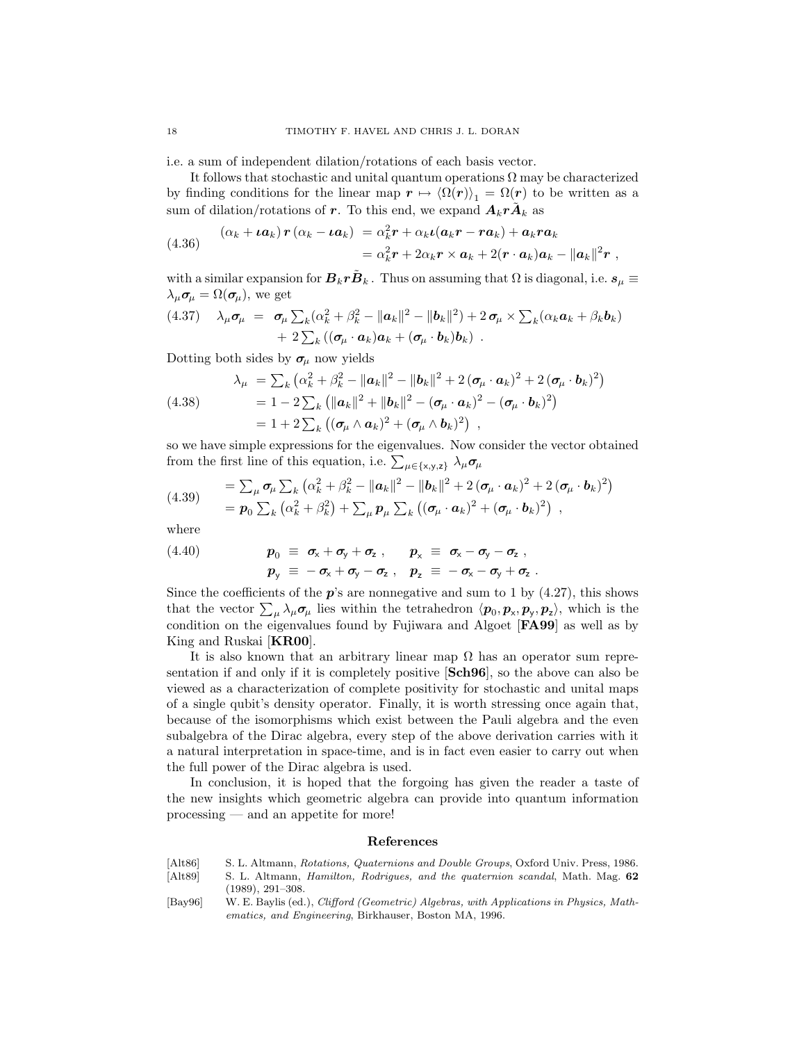i.e. a sum of independent dilation/rotations of each basis vector.

It follows that stochastic and unital quantum operations  $\Omega$  may be characterized by finding conditions for the linear map  $r \mapsto \langle \Omega(r) \rangle_1 = \Omega(r)$  to be written as a sum of dilation/rotations of r. To this end, we expand  $A_k r \tilde{A}_k$  as

(4.36) 
$$
(\alpha_k + \iota a_k) r (\alpha_k - \iota a_k) = \alpha_k^2 r + \alpha_k \iota (a_k r - r a_k) + a_k r a_k
$$

$$
= \alpha_k^2 r + 2\alpha_k r \times a_k + 2(r \cdot a_k) a_k - ||a_k||^2 r,
$$

with a similar expansion for  $\bm{B}_k \bm{r} \tilde{\bm{B}}_k$ . Thus on assuming that  $\Omega$  is diagonal, i.e.  $\bm{s}_{\mu} \equiv$  $\lambda_{\mu} \sigma_{\mu} = \Omega(\sigma_{\mu}),$  we get

$$
(4.37) \quad \lambda_{\mu}\sigma_{\mu} = \sigma_{\mu}\sum_{k}(\alpha_{k}^{2}+\beta_{k}^{2}-\|\boldsymbol{a}_{k}\|^{2}-\|\boldsymbol{b}_{k}\|^{2})+2\,\sigma_{\mu}\times\sum_{k}(\alpha_{k}\boldsymbol{a}_{k}+\beta_{k}\boldsymbol{b}_{k})+2\sum_{k}((\sigma_{\mu}\cdot\boldsymbol{a}_{k})\boldsymbol{a}_{k}+(\sigma_{\mu}\cdot\boldsymbol{b}_{k})\boldsymbol{b}_{k}).
$$

Dotting both sides by  $\sigma_\mu$  now yields

(4.38) 
$$
\lambda_{\mu} = \sum_{k} (\alpha_{k}^{2} + \beta_{k}^{2} - ||\mathbf{a}_{k}||^{2} - ||\mathbf{b}_{k}||^{2} + 2(\boldsymbol{\sigma}_{\mu} \cdot \mathbf{a}_{k})^{2} + 2(\boldsymbol{\sigma}_{\mu} \cdot \mathbf{b}_{k})^{2})
$$

$$
= 1 - 2 \sum_{k} (||\mathbf{a}_{k}||^{2} + ||\mathbf{b}_{k}||^{2} - (\boldsymbol{\sigma}_{\mu} \cdot \mathbf{a}_{k})^{2} - (\boldsymbol{\sigma}_{\mu} \cdot \mathbf{b}_{k})^{2})
$$

$$
= 1 + 2 \sum_{k} ((\boldsymbol{\sigma}_{\mu} \wedge \mathbf{a}_{k})^{2} + (\boldsymbol{\sigma}_{\mu} \wedge \mathbf{b}_{k})^{2}),
$$

so we have simple expressions for the eigenvalues. Now consider the vector obtained from the first line of this equation, i.e.  $\sum_{\mu \in \{\mathsf{x},\mathsf{y},\mathsf{z}\}} \lambda_{\mu} \sigma_{\mu}$ 

(4.39) 
$$
= \sum_{\mu} \sigma_{\mu} \sum_{k} (\alpha_{k}^{2} + \beta_{k}^{2} - ||\mathbf{a}_{k}||^{2} - ||\mathbf{b}_{k}||^{2} + 2 (\sigma_{\mu} \cdot \mathbf{a}_{k})^{2} + 2 (\sigma_{\mu} \cdot \mathbf{b}_{k})^{2})
$$

$$
= \mathbf{p}_{0} \sum_{k} (\alpha_{k}^{2} + \beta_{k}^{2}) + \sum_{\mu} \mathbf{p}_{\mu} \sum_{k} ((\sigma_{\mu} \cdot \mathbf{a}_{k})^{2} + (\sigma_{\mu} \cdot \mathbf{b}_{k})^{2}),
$$

where

(4.40) 
$$
p_0 \equiv \sigma_x + \sigma_y + \sigma_z , \qquad p_x \equiv \sigma_x - \sigma_y - \sigma_z ,
$$

$$
p_y \equiv -\sigma_x + \sigma_y - \sigma_z , \qquad p_z \equiv -\sigma_x - \sigma_y + \sigma_z .
$$

Since the coefficients of the  $p$ 's are nonnegative and sum to 1 by (4.27), this shows that the vector  $\sum_{\mu} \lambda_{\mu} \sigma_{\mu}$  lies within the tetrahedron  $\langle p_0, p_{\times}, p_{\rm y}, p_{\rm z} \rangle$ , which is the condition on the eigenvalues found by Fujiwara and Algoet [FA99] as well as by King and Ruskai [KR00].

It is also known that an arbitrary linear map  $\Omega$  has an operator sum representation if and only if it is completely positive [Sch96], so the above can also be viewed as a characterization of complete positivity for stochastic and unital maps of a single qubit's density operator. Finally, it is worth stressing once again that, because of the isomorphisms which exist between the Pauli algebra and the even subalgebra of the Dirac algebra, every step of the above derivation carries with it a natural interpretation in space-time, and is in fact even easier to carry out when the full power of the Dirac algebra is used.

In conclusion, it is hoped that the forgoing has given the reader a taste of the new insights which geometric algebra can provide into quantum information processing — and an appetite for more!

## References

- [Alt86] S. L. Altmann, Rotations, Quaternions and Double Groups, Oxford Univ. Press, 1986.
- [Alt89] S. L. Altmann, Hamilton, Rodrigues, and the quaternion scandal, Math. Mag. 62 (1989), 291–308.
- [Bay96] W. E. Baylis (ed.), Clifford (Geometric) Algebras, with Applications in Physics, Mathematics, and Engineering, Birkhauser, Boston MA, 1996.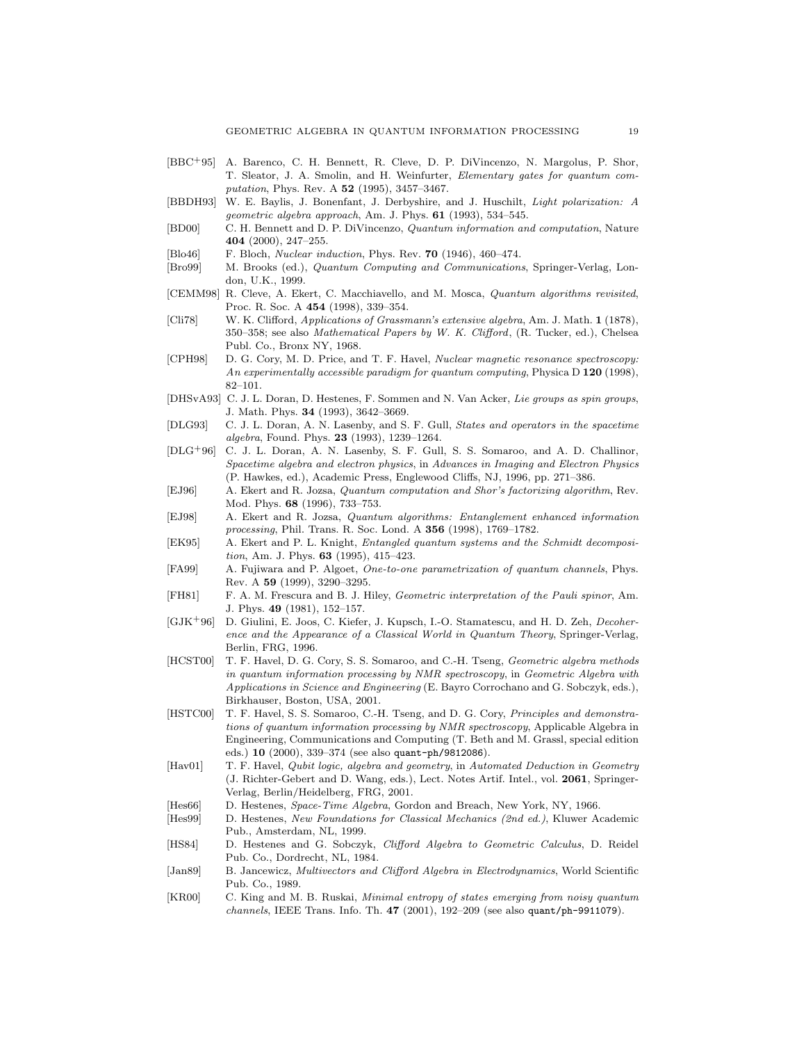- [BBC+95] A. Barenco, C. H. Bennett, R. Cleve, D. P. DiVincenzo, N. Margolus, P. Shor, T. Sleator, J. A. Smolin, and H. Weinfurter, Elementary gates for quantum computation, Phys. Rev. A 52 (1995), 3457–3467.
- [BBDH93] W. E. Baylis, J. Bonenfant, J. Derbyshire, and J. Huschilt, Light polarization: A geometric algebra approach, Am. J. Phys. 61 (1993), 534–545.
- [BD00] C. H. Bennett and D. P. DiVincenzo, Quantum information and computation, Nature 404 (2000), 247–255.
- [Blo46] F. Bloch, Nuclear induction, Phys. Rev. 70 (1946), 460–474.
- [Bro99] M. Brooks (ed.), Quantum Computing and Communications, Springer-Verlag, London, U.K., 1999.
- [CEMM98] R. Cleve, A. Ekert, C. Macchiavello, and M. Mosca, Quantum algorithms revisited, Proc. R. Soc. A 454 (1998), 339–354.
- [Cli78] W. K. Clifford, Applications of Grassmann's extensive algebra, Am. J. Math. 1 (1878), 350–358; see also Mathematical Papers by W. K. Clifford, (R. Tucker, ed.), Chelsea Publ. Co., Bronx NY, 1968.
- [CPH98] D. G. Cory, M. D. Price, and T. F. Havel, Nuclear magnetic resonance spectroscopy: An experimentally accessible paradigm for quantum computing, Physica D 120 (1998), 82–101.
- [DHSvA93] C. J. L. Doran, D. Hestenes, F. Sommen and N. Van Acker, Lie groups as spin groups, J. Math. Phys. 34 (1993), 3642–3669.
- [DLG93] C. J. L. Doran, A. N. Lasenby, and S. F. Gull, States and operators in the spacetime algebra, Found. Phys. 23 (1993), 1239–1264.
- [DLG+96] C. J. L. Doran, A. N. Lasenby, S. F. Gull, S. S. Somaroo, and A. D. Challinor, Spacetime algebra and electron physics, in Advances in Imaging and Electron Physics (P. Hawkes, ed.), Academic Press, Englewood Cliffs, NJ, 1996, pp. 271–386.
- [EJ96] A. Ekert and R. Jozsa, Quantum computation and Shor's factorizing algorithm, Rev. Mod. Phys. 68 (1996), 733–753.
- [EJ98] A. Ekert and R. Jozsa, Quantum algorithms: Entanglement enhanced information processing, Phil. Trans. R. Soc. Lond. A 356 (1998), 1769–1782.
- [EK95] A. Ekert and P. L. Knight, Entangled quantum systems and the Schmidt decomposition, Am. J. Phys. 63 (1995), 415–423.
- [FA99] A. Fujiwara and P. Algoet, One-to-one parametrization of quantum channels, Phys. Rev. A 59 (1999), 3290–3295.
- [FH81] F. A. M. Frescura and B. J. Hiley, Geometric interpretation of the Pauli spinor, Am. J. Phys. 49 (1981), 152–157.
- [GJK+96] D. Giulini, E. Joos, C. Kiefer, J. Kupsch, I.-O. Stamatescu, and H. D. Zeh, Decoherence and the Appearance of a Classical World in Quantum Theory, Springer-Verlag, Berlin, FRG, 1996.
- [HCST00] T. F. Havel, D. G. Cory, S. S. Somaroo, and C.-H. Tseng, *Geometric algebra methods* in quantum information processing by NMR spectroscopy, in Geometric Algebra with Applications in Science and Engineering (E. Bayro Corrochano and G. Sobczyk, eds.), Birkhauser, Boston, USA, 2001.
- [HSTC00] T. F. Havel, S. S. Somaroo, C.-H. Tseng, and D. G. Cory, *Principles and demonstra*tions of quantum information processing by NMR spectroscopy, Applicable Algebra in Engineering, Communications and Computing (T. Beth and M. Grassl, special edition eds.) 10 (2000), 339–374 (see also quant-ph/9812086).
- [Hav01] T. F. Havel, Qubit logic, algebra and geometry, in Automated Deduction in Geometry (J. Richter-Gebert and D. Wang, eds.), Lect. Notes Artif. Intel., vol. 2061, Springer-Verlag, Berlin/Heidelberg, FRG, 2001.
- [Hes66] D. Hestenes, Space-Time Algebra, Gordon and Breach, New York, NY, 1966.
- [Hes99] D. Hestenes, New Foundations for Classical Mechanics (2nd ed.), Kluwer Academic Pub., Amsterdam, NL, 1999.
- [HS84] D. Hestenes and G. Sobczyk, Clifford Algebra to Geometric Calculus, D. Reidel Pub. Co., Dordrecht, NL, 1984.
- [Jan89] B. Jancewicz, Multivectors and Clifford Algebra in Electrodynamics, World Scientific Pub. Co., 1989.
- [KR00] C. King and M. B. Ruskai, Minimal entropy of states emerging from noisy quantum channels, IEEE Trans. Info. Th. 47 (2001), 192–209 (see also quant/ph-9911079).